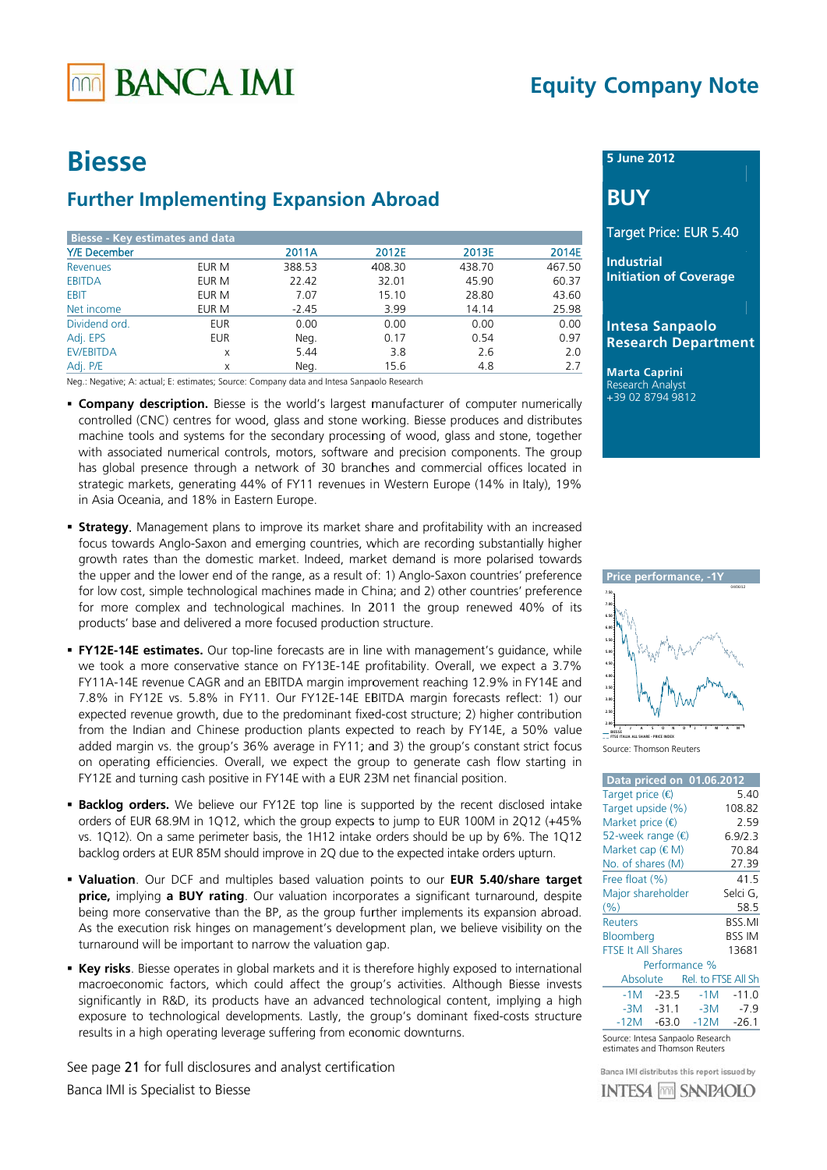# **BANCA IMI**

## **Equity Company Note**

## **Riesse**

## **Further Implementing Expansion Abroad**

| <b>Biesse - Key estimates and data</b> |            |         |        |        |        |
|----------------------------------------|------------|---------|--------|--------|--------|
| <b>Y/E</b> December                    |            | 2011A   | 2012E  | 2013E  | 2014E  |
| <b>Revenues</b>                        | EUR M      | 388.53  | 408.30 | 438.70 | 467.50 |
| <b>EBITDA</b>                          | EUR M      | 22.42   | 32.01  | 45.90  | 60.37  |
| EBIT                                   | EUR M      | 7.07    | 15.10  | 28.80  | 43.60  |
| Net income                             | EUR M      | $-2.45$ | 3.99   | 14.14  | 25.98  |
| Dividend ord.                          | <b>EUR</b> | 0.00    | 0.00   | 0.00   | 0.00   |
| Adj. EPS                               | <b>EUR</b> | Neg.    | 0.17   | 0.54   | 0.97   |
| <b>EV/EBITDA</b>                       | X          | 5.44    | 3.8    | 2.6    | 2.0    |
| Adj. P/E                               | Χ          | Neg.    | 15.6   | 4.8    | 2.7    |

Neg.: Negative; A: actual; E: estimates; Source: Company data and Intesa Sanpaolo Research

- **Company description.** Biesse is the world's largest manufacturer of computer numerically controlled (CNC) centres for wood, glass and stone working. Biesse produces and distributes machine tools and systems for the secondary processing of wood, glass and stone, together with associated numerical controls, motors, software and precision components. The group has global presence through a network of 30 branches and commercial offices located in strategic markets, generating 44% of FY11 revenues in Western Europe (14% in Italy), 19% in Asia Oceania, and 18% in Eastern Europe.
- **Strategy.** Management plans to improve its market share and profitability with an increased focus towards Anglo-Saxon and emerging countries, which are recording substantially higher growth rates than the domestic market. Indeed, market demand is more polarised towards the upper and the lower end of the range, as a result of: 1) Anglo-Saxon countries' preference for low cost, simple technological machines made in China; and 2) other countries' preference for more complex and technological machines. In 2011 the group renewed 40% of its products' base and delivered a more focused production structure.
- **FY12E-14E estimates.** Our top-line forecasts are in line with management's quidance, while we took a more conservative stance on FY13E-14E profitability. Overall, we expect a 3.7% FY11A-14E revenue CAGR and an EBITDA margin improvement reaching 12.9% in FY14E and 7.8% in FY12E vs. 5.8% in FY11. Our FY12E-14E EBITDA margin forecasts reflect: 1) our expected revenue growth, due to the predominant fixed-cost structure; 2) higher contribution from the Indian and Chinese production plants expected to reach by FY14E, a 50% value added margin vs. the group's 36% average in FY11; and 3) the group's constant strict focus on operating efficiencies. Overall, we expect the group to generate cash flow starting in FY12E and turning cash positive in FY14E with a EUR 23M net financial position.
- **Backlog orders.** We believe our FY12E top line is supported by the recent disclosed intake orders of EUR 68.9M in 1Q12, which the group expects to jump to EUR 100M in 2Q12 (+45%) vs. 1Q12). On a same perimeter basis, the 1H12 intake orders should be up by 6%. The 1Q12 backlog orders at EUR 85M should improve in 2Q due to the expected intake orders upturn.
- . Valuation. Our DCF and multiples based valuation points to our EUR 5.40/share target price, implying a BUY rating. Our valuation incorporates a significant turnaround, despite being more conservative than the BP, as the group further implements its expansion abroad. As the execution risk hinges on management's development plan, we believe visibility on the turnaround will be important to narrow the valuation gap.
- **Example Figure** Elesse operates in global markets and it is therefore highly exposed to international macroeconomic factors, which could affect the group's activities. Although Biesse invests significantly in R&D, its products have an advanced technological content, implying a high exposure to technological developments. Lastly, the group's dominant fixed-costs structure results in a high operating leverage suffering from economic downturns.

See page 21 for full disclosures and analyst certification Banca IMI is Specialist to Biesse

### 5 June 2012

## **BUY**

### Target Price: EUR 5.40

**Industrial Initiation of Coverage** 

### **Intesa Sanpaolo Research Department**

**Marta Caprini** Research Analyst +39 02 8794 9812



Source: Thomson Reuters

| Data priced on 01.06.2012 |               |       |                              |
|---------------------------|---------------|-------|------------------------------|
| Target price $\bigoplus$  |               |       | 5.40                         |
| Target upside (%)         |               |       | 108.82                       |
| Market price $(\epsilon)$ |               |       | 2.59                         |
| 52-week range (€          |               |       | 6.9/2.3                      |
| Market cap (€M)           |               |       | 70.84                        |
| No. of shares (M)         |               |       | 27.39                        |
| Free float (%)            |               |       | 41.5                         |
| Major shareholder         |               |       | Selci G,                     |
| (%)                       |               |       | 58.5                         |
| <b>Reuters</b>            |               |       | BSS.MI                       |
| Bloomberg                 |               |       | BSS IM                       |
| <b>FTSE It All Shares</b> |               |       | 13681                        |
|                           | Performance % |       |                              |
|                           |               |       | Absolute Rel. to FTSE All Sh |
| $-1M$                     | -23.5         | $-1M$ | $-11.0$                      |
|                           | $-3M - 31.1$  | $-3M$ | $-7.9$                       |
| $-12M$                    | $-63.0$       | -12M  | $-26.1$                      |

Source: Intesa Sanpaolo Research estimates and Thomson Reuters

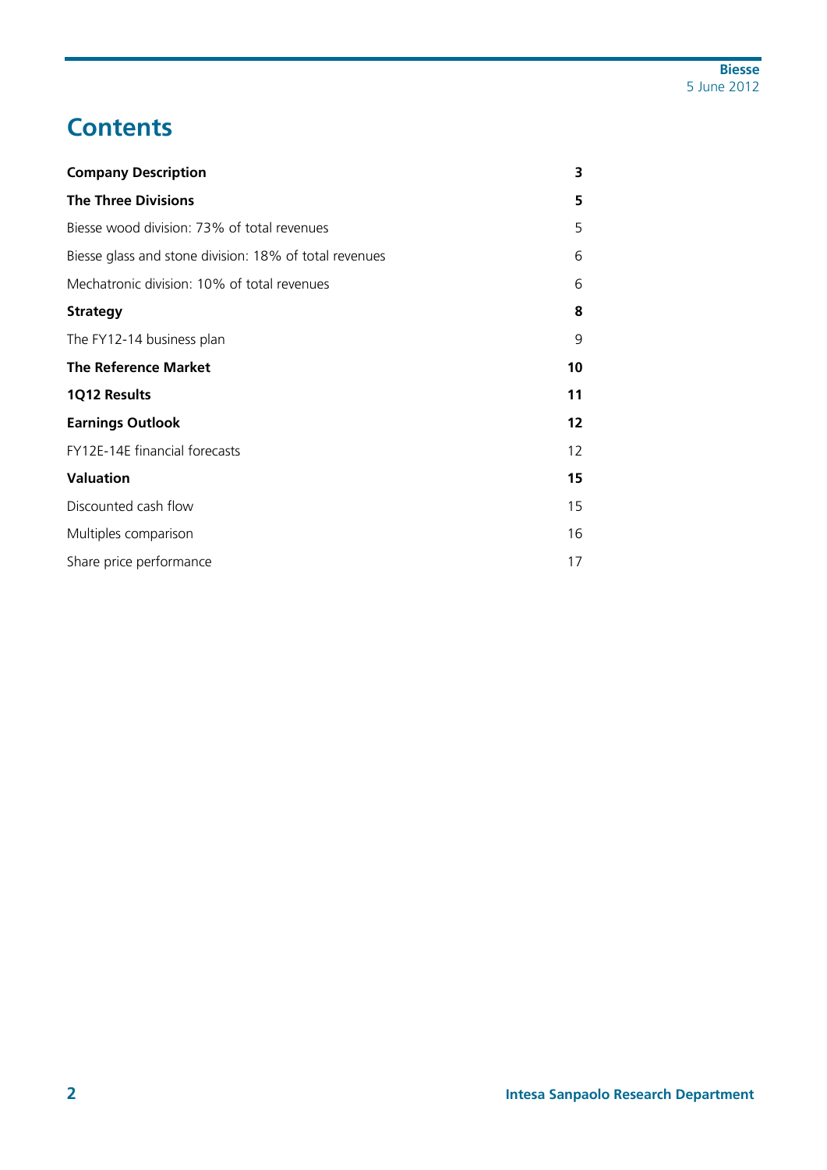## **Contents**

| <b>Company Description</b>                             | 3  |
|--------------------------------------------------------|----|
| <b>The Three Divisions</b>                             | 5  |
| Biesse wood division: 73% of total revenues            | 5  |
| Biesse glass and stone division: 18% of total revenues | 6  |
| Mechatronic division: 10% of total revenues            | 6  |
| <b>Strategy</b>                                        | 8  |
| The FY12-14 business plan                              | 9  |
| <b>The Reference Market</b>                            | 10 |
| 1Q12 Results                                           | 11 |
| <b>Earnings Outlook</b>                                | 12 |
| FY12E-14E financial forecasts                          | 12 |
| <b>Valuation</b>                                       | 15 |
| Discounted cash flow                                   | 15 |
| Multiples comparison                                   | 16 |
| Share price performance                                | 17 |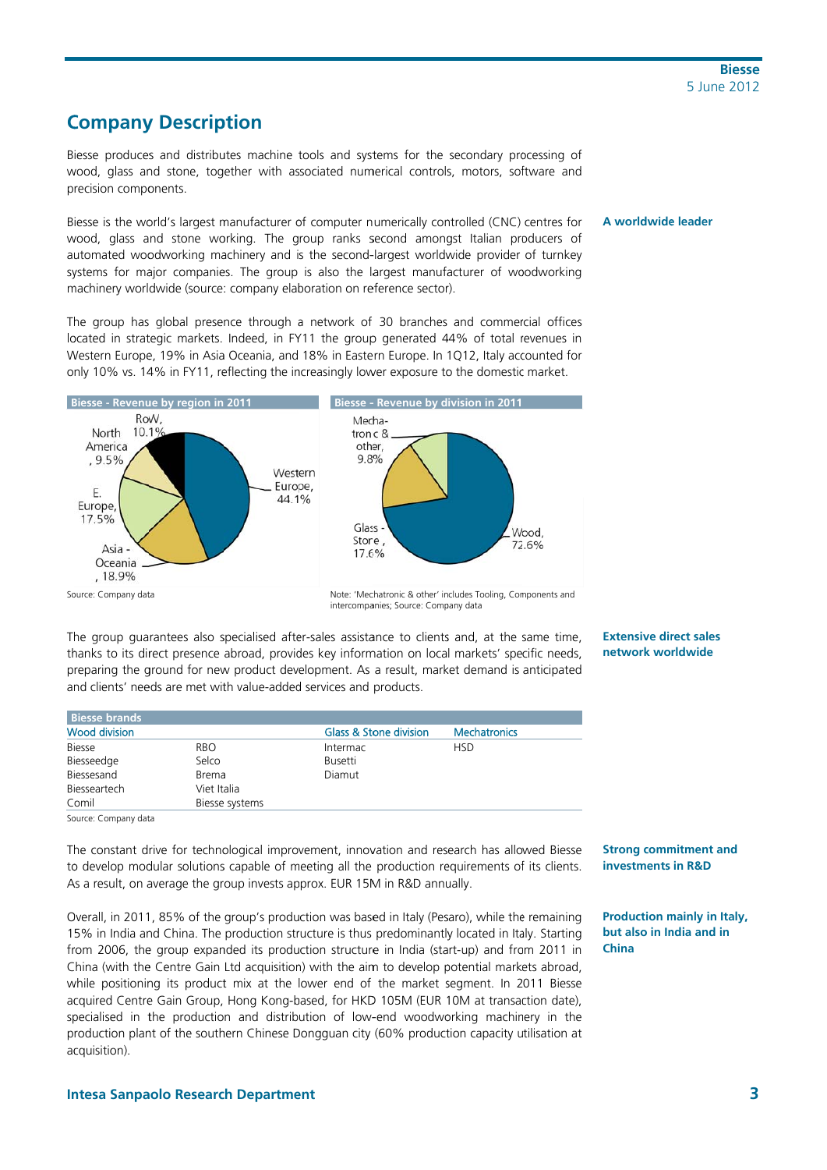## **Company Description**

Biesse produces and distributes machine tools and systems for the secondary processing of wood, glass and stone, together with associated numerical controls, motors, software and precision components.

Biesse is the world's largest manufacturer of computer numerically controlled (CNC) centres for wood, glass and stone working. The group ranks second amongst Italian producers of automated woodworking machinery and is the second-largest worldwide provider of turnkey systems for major companies. The group is also the largest manufacturer of woodworking machinery worldwide (source: company elaboration on reference sector).

The group has global presence through a network of 30 branches and commercial offices located in strategic markets. Indeed, in FY11 the group generated 44% of total revenues in Western Europe, 19% in Asia Oceania, and 18% in Eastern Europe. In 1Q12, Italy accounted for only 10% vs. 14% in FY11, reflecting the increasingly lower exposure to the domestic market.



intercompanies: Source: Company data

The group guarantees also specialised after-sales assistance to clients and, at the same time. thanks to its direct presence abroad, provides key information on local markets' specific needs, preparing the ground for new product development. As a result, market demand is anticipated and clients' needs are met with value-added services and products.

**Extensive direct sales** network worldwide

A worldwide leader

| l Biesse brands |                |                        |                     |
|-----------------|----------------|------------------------|---------------------|
| Wood division   |                | Glass & Stone division | <b>Mechatronics</b> |
| <b>Biesse</b>   | <b>RBO</b>     | Intermac               | <b>HSD</b>          |
| Biesseedge      | Selco          | Busetti                |                     |
| Biessesand      | Brema          | Diamut                 |                     |
| Biesseartech    | Viet Italia    |                        |                     |
| Comil           | Biesse systems |                        |                     |

Source: Company data

The constant drive for technological improvement, innovation and research has allowed Biesse to develop modular solutions capable of meeting all the production requirements of its clients. As a result, on average the group invests approx. EUR 15M in R&D annually.

Overall, in 2011, 85% of the group's production was based in Italy (Pesaro), while the remaining 15% in India and China. The production structure is thus predominantly located in Italy. Starting from 2006, the group expanded its production structure in India (start-up) and from 2011 in China (with the Centre Gain Ltd acquisition) with the aim to develop potential markets abroad. while positioning its product mix at the lower end of the market segment. In 2011 Biesse acquired Centre Gain Group, Hong Kong-based, for HKD 105M (EUR 10M at transaction date), specialised in the production and distribution of low-end woodworking machinery in the production plant of the southern Chinese Dongguan city (60% production capacity utilisation at acquisition).

**Strong commitment and** investments in R&D

**Production mainly in Italy,** but also in India and in China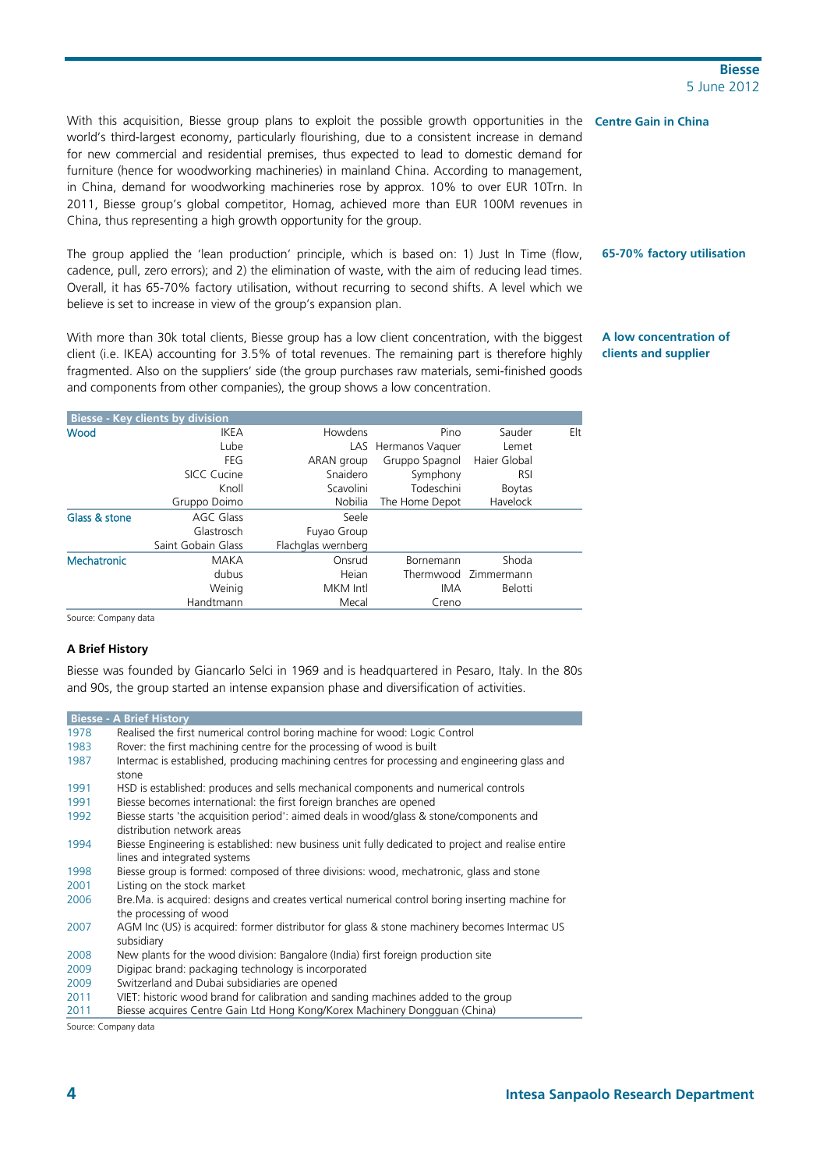With this acquisition, Biesse group plans to exploit the possible growth opportunities in the **Centre Gain in China**  world's third-largest economy, particularly flourishing, due to a consistent increase in demand for new commercial and residential premises, thus expected to lead to domestic demand for furniture (hence for woodworking machineries) in mainland China. According to management, in China, demand for woodworking machineries rose by approx. 10% to over EUR 10Trn. In 2011, Biesse group's global competitor, Homag, achieved more than EUR 100M revenues in China, thus representing a high growth opportunity for the group.

The group applied the 'lean production' principle, which is based on: 1) Just In Time (flow, cadence, pull, zero errors); and 2) the elimination of waste, with the aim of reducing lead times. Overall, it has 65-70% factory utilisation, without recurring to second shifts. A level which we believe is set to increase in view of the group's expansion plan.

With more than 30k total clients, Biesse group has a low client concentration, with the biggest client (i.e. IKEA) accounting for 3.5% of total revenues. The remaining part is therefore highly fragmented. Also on the suppliers' side (the group purchases raw materials, semi-finished goods and components from other companies), the group shows a low concentration.

**A low concentration of clients and supplier** 

**65-70% factory utilisation** 

|               | <b>Biesse - Key clients by division</b> |                    |                     |                      |     |
|---------------|-----------------------------------------|--------------------|---------------------|----------------------|-----|
| Wood          | <b>IKEA</b>                             | Howdens            | Pino                | Sauder               | Elt |
|               | Lube                                    |                    | LAS Hermanos Vaquer | Lemet                |     |
|               | FEG                                     | ARAN group         | Gruppo Spagnol      | Haier Global         |     |
|               | SICC Cucine                             | Snaidero           | Symphony            | <b>RSI</b>           |     |
|               | Knoll                                   | Scavolini          | Todeschini          | <b>Boytas</b>        |     |
|               | Gruppo Doimo                            | Nobilia            | The Home Depot      | Havelock             |     |
| Glass & stone | AGC Glass                               | Seele              |                     |                      |     |
|               | Glastrosch                              | Fuyao Group        |                     |                      |     |
|               | Saint Gobain Glass                      | Flachglas wernberg |                     |                      |     |
| Mechatronic   | MAKA                                    | Onsrud             | Bornemann           | Shoda                |     |
|               | dubus                                   | Heian              |                     | Thermwood Zimmermann |     |
|               | Weinig                                  | MKM Intl           | IMA                 | <b>Belotti</b>       |     |
|               | Handtmann                               | Mecal              | Creno               |                      |     |

Source: Company data

#### **A Brief History**

Biesse was founded by Giancarlo Selci in 1969 and is headquartered in Pesaro, Italy. In the 80s and 90s, the group started an intense expansion phase and diversification of activities.

|      | <b>Biesse - A Brief History</b>                                                                                        |
|------|------------------------------------------------------------------------------------------------------------------------|
| 1978 | Realised the first numerical control boring machine for wood: Logic Control                                            |
| 1983 | Rover: the first machining centre for the processing of wood is built                                                  |
| 1987 | Intermac is established, producing machining centres for processing and engineering glass and                          |
|      | stone                                                                                                                  |
| 1991 | HSD is established: produces and sells mechanical components and numerical controls                                    |
| 1991 | Biesse becomes international: the first foreign branches are opened                                                    |
| 1992 | Biesse starts 'the acquisition period': aimed deals in wood/glass & stone/components and<br>distribution network areas |
| 1994 | Biesse Engineering is established: new business unit fully dedicated to project and realise entire                     |
|      | lines and integrated systems                                                                                           |
| 1998 | Biesse group is formed: composed of three divisions: wood, mechatronic, glass and stone                                |
| 2001 | Listing on the stock market                                                                                            |
| 2006 | Bre. Ma. is acquired: designs and creates vertical numerical control boring inserting machine for                      |
|      | the processing of wood                                                                                                 |
| 2007 | AGM Inc (US) is acquired: former distributor for glass & stone machinery becomes Intermac US<br>subsidiary             |
| 2008 | New plants for the wood division: Bangalore (India) first foreign production site                                      |
| 2009 | Digipac brand: packaging technology is incorporated                                                                    |
| 2009 | Switzerland and Dubai subsidiaries are opened                                                                          |
| 2011 | VIET: historic wood brand for calibration and sanding machines added to the group                                      |
| 2011 | Biesse acquires Centre Gain Ltd Hong Kong/Korex Machinery Dongguan (China)                                             |

Source: Company data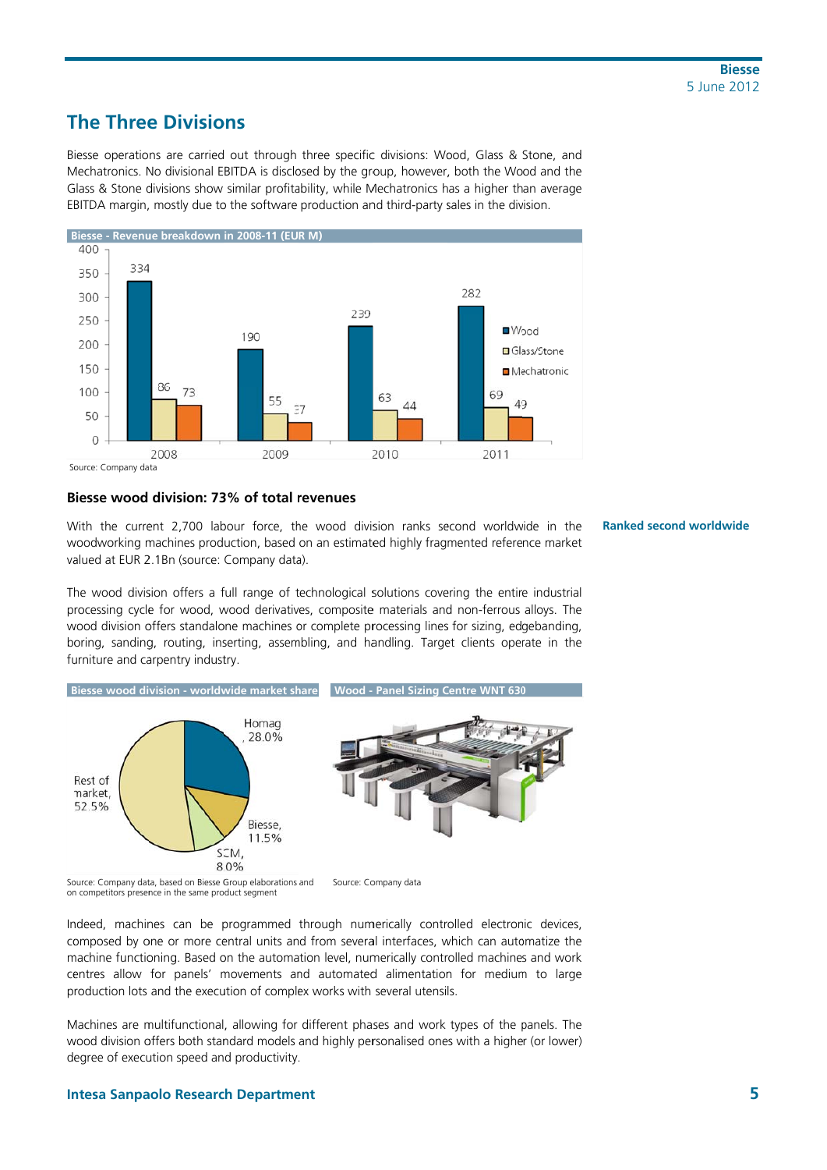## **The Three Divisions**

Biesse operations are carried out through three specific divisions: Wood, Glass & Stone, and Mechatronics. No divisional EBITDA is disclosed by the group, however, both the Wood and the Glass & Stone divisions show similar profitability, while Mechatronics has a higher than average EBITDA margin, mostly due to the software production and third-party sales in the division.



Source: Company data

### Biesse wood division: 73% of total revenues

With the current 2.700 labour force, the wood division ranks second worldwide in the woodworking machines production, based on an estimated highly fragmented reference market valued at EUR 2.1Bn (source: Company data).

**Ranked second worldwide** 

The wood division offers a full range of technological solutions covering the entire industrial processing cycle for wood, wood derivatives, composite materials and non-ferrous alloys. The wood division offers standalone machines or complete processing lines for sizing, edgebanding, boring, sanding, routing, inserting, assembling, and handling. Target clients operate in the furniture and carpentry industry.



on competitors presence in the same product segment

Indeed, machines can be programmed through numerically controlled electronic devices, composed by one or more central units and from several interfaces, which can automatize the machine functioning. Based on the automation level, numerically controlled machines and work centres allow for panels' movements and automated alimentation for medium to large production lots and the execution of complex works with several utensils.

Machines are multifunctional, allowing for different phases and work types of the panels. The wood division offers both standard models and highly personalised ones with a higher (or lower) degree of execution speed and productivity.

### **Intesa Sanpaolo Research Department**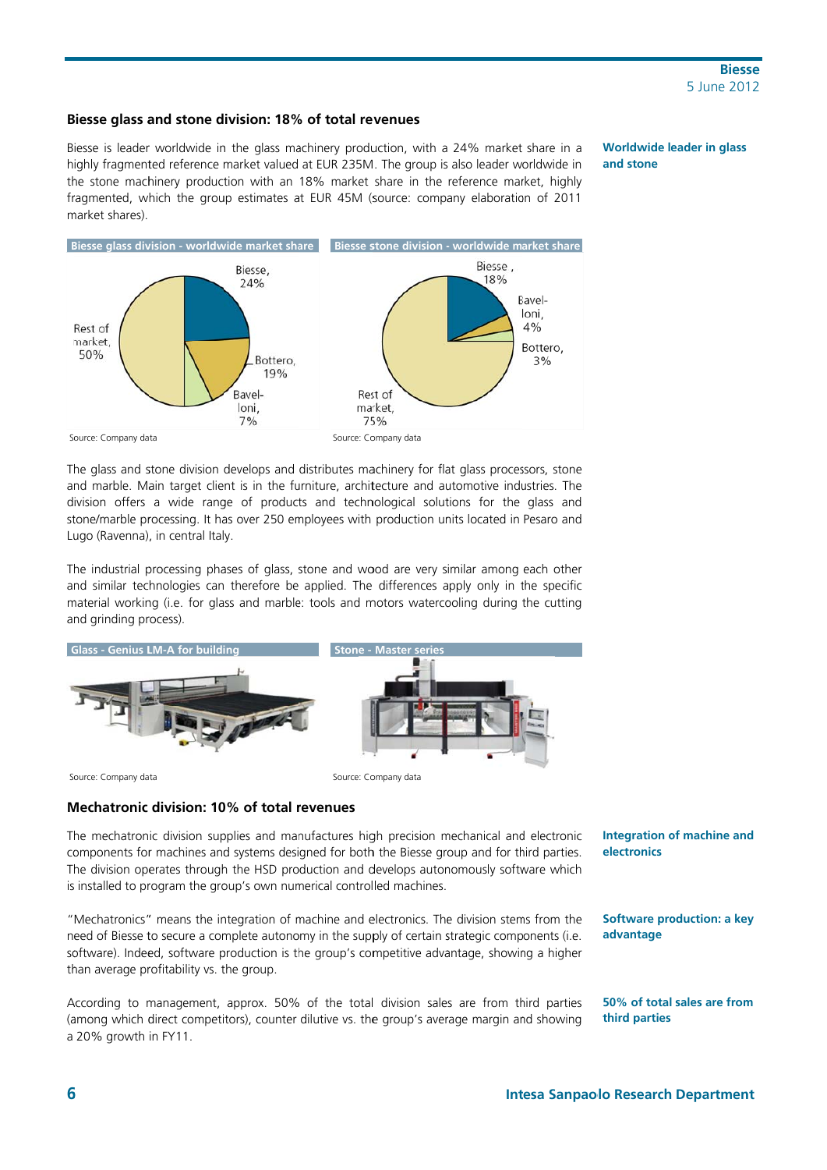#### Biesse glass and stone division: 18% of total revenues

Biesse is leader worldwide in the glass machinery production, with a 24% market share in a highly fragmented reference market valued at EUR 235M. The group is also leader worldwide in the stone machinery production with an 18% market share in the reference market, highly fragmented, which the group estimates at EUR 45M (source: company elaboration of 2011 market shares)

**Worldwide leader in glass** and stone



The glass and stone division develops and distributes machinery for flat glass processors, stone and marble. Main target client is in the furniture, architecture and automotive industries. The division offers a wide range of products and technological solutions for the glass and stone/marble processing. It has over 250 employees with production units located in Pesaro and Lugo (Ravenna), in central Italy.

The industrial processing phases of glass, stone and wood are very similar among each other and similar technologies can therefore be applied. The differences apply only in the specific material working (i.e. for glass and marble: tools and motors watercooling during the cutting and grinding process).



#### Mechatronic division: 10% of total revenues

The mechatronic division supplies and manufactures high precision mechanical and electronic components for machines and systems designed for both the Biesse group and for third parties. The division operates through the HSD production and develops autonomously software which is installed to program the group's own numerical controlled machines.

"Mechatronics" means the integration of machine and electronics. The division stems from the need of Biesse to secure a complete autonomy in the supply of certain strategic components (i.e. software). Indeed, software production is the group's competitive advantage, showing a higher than average profitability vs. the group.

According to management, approx. 50% of the total division sales are from third parties (among which direct competitors), counter dilutive vs. the group's average margin and showing a 20% growth in FY11.

**Integration of machine and** electronics

**Software production: a key** advantage

50% of total sales are from third parties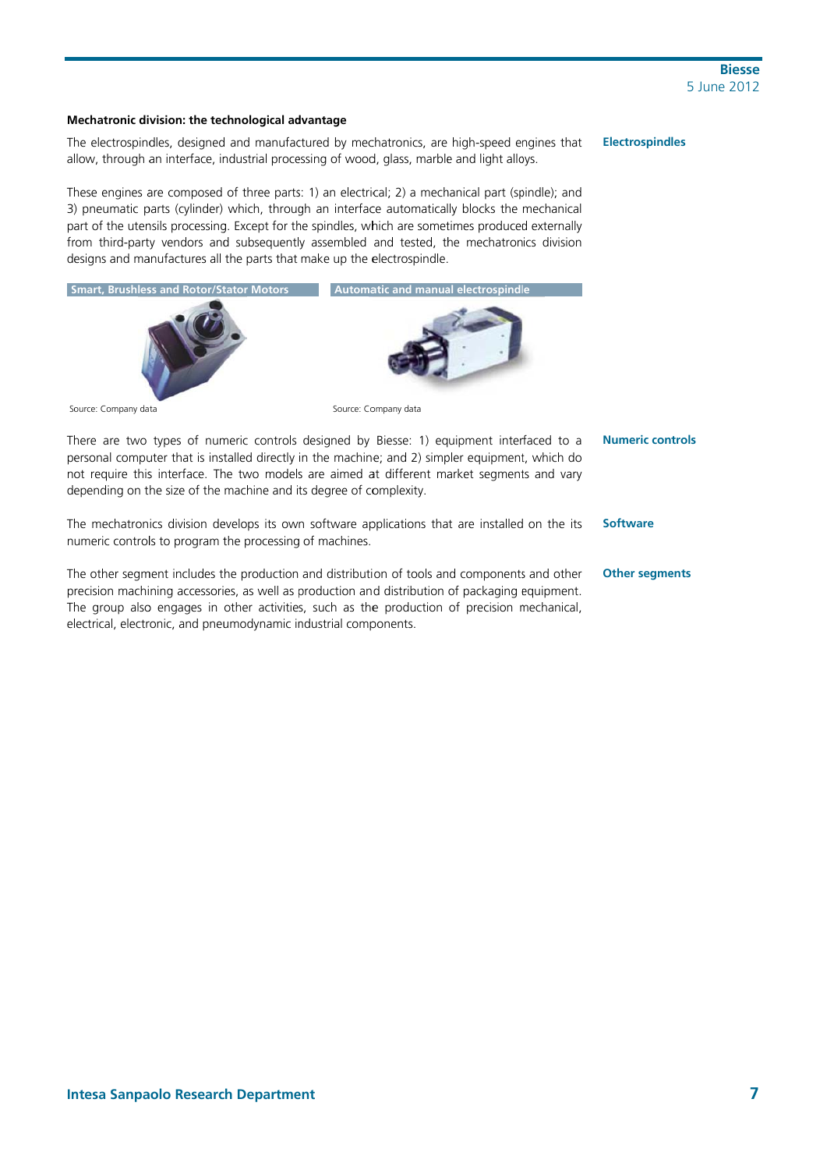### Mechatronic division: the technological advantage

**Electrospindles** The electrospindles, designed and manufactured by mechatronics, are high-speed engines that allow, through an interface, industrial processing of wood, glass, marble and light alloys.

These engines are composed of three parts: 1) an electrical; 2) a mechanical part (spindle); and 3) pneumatic parts (cylinder) which, through an interface automatically blocks the mechanical part of the utensils processing. Except for the spindles, which are sometimes produced externally from third-party vendors and subsequently assembled and tested, the mechatronics division designs and manufactures all the parts that make up the electrospindle.



There are two types of numeric controls designed by Biesse: 1) equipment interfaced to a **Numeric controls** personal computer that is installed directly in the machine; and 2) simpler equipment, which do not require this interface. The two models are aimed at different market segments and vary depending on the size of the machine and its degree of complexity.

The mechatronics division develops its own software applications that are installed on the its numeric controls to program the processing of machines.

The other seament includes the production and distribution of tools and components and other precision machining accessories, as well as production and distribution of packaging equipment. The group also engages in other activities, such as the production of precision mechanical, electrical, electronic, and pneumodynamic industrial components.

**Software** 

#### **Other segments**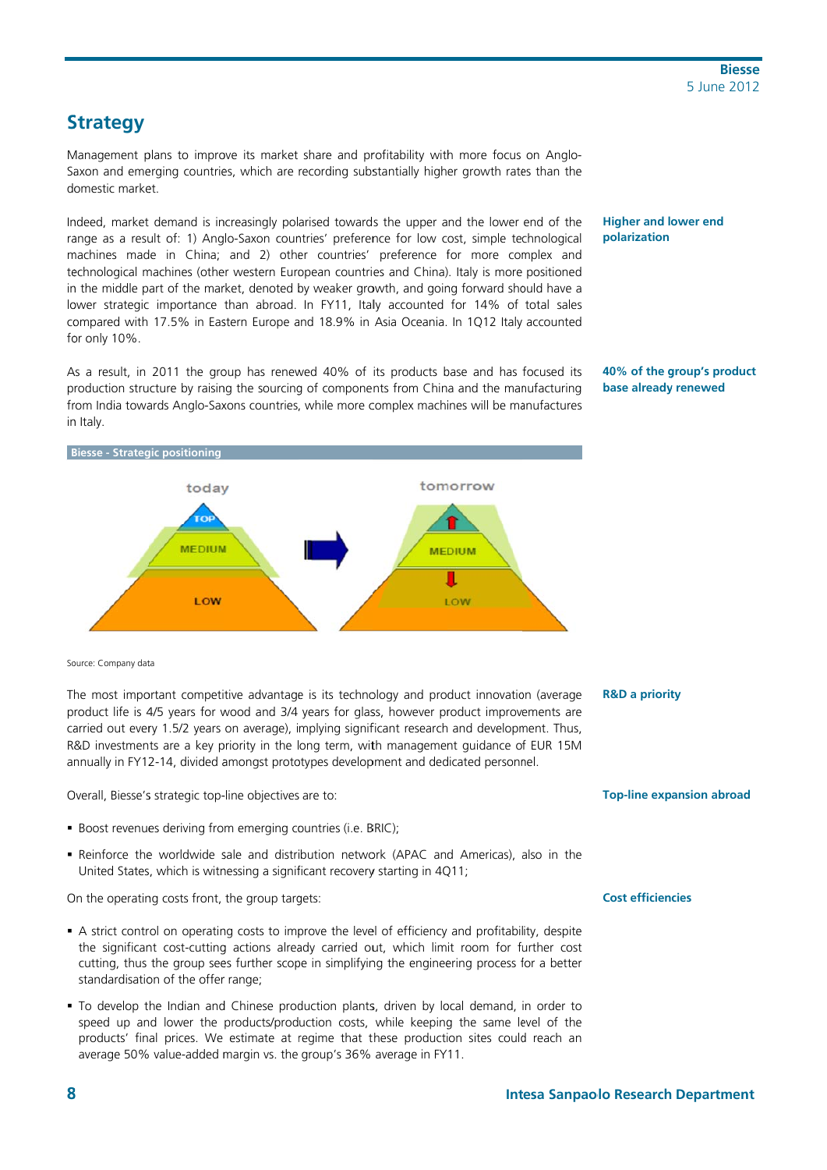## **Strategy**

Management plans to improve its market share and profitability with more focus on Anglo-Saxon and emerging countries, which are recording substantially higher growth rates than the domestic market.

Indeed, market demand is increasingly polarised towards the upper and the lower end of the range as a result of: 1) Anglo-Saxon countries' preference for low cost, simple technological machines made in China; and 2) other countries' preference for more complex and technological machines (other western European countries and China). Italy is more positioned in the middle part of the market, denoted by weaker growth, and going forward should have a lower strategic importance than abroad. In FY11, Italy accounted for 14% of total sales compared with 17.5% in Eastern Europe and 18.9% in Asia Oceania. In 1Q12 Italy accounted for only 10%.

As a result, in 2011 the group has renewed 40% of its products base and has focused its production structure by raising the sourcing of components from China and the manufacturing from India towards Anglo-Saxons countries, while more complex machines will be manufactures in Italy.



40% of the group's product base already renewed



Source: Company data

The most important competitive advantage is its technology and product innovation (average product life is 4/5 years for wood and 3/4 years for glass, however product improvements are carried out every 1.5/2 years on average), implying significant research and development. Thus, R&D investments are a key priority in the long term, with management guidance of EUR 15M annually in FY12-14, divided amongst prototypes development and dedicated personnel.

Overall, Biesse's strategic top-line objectives are to:

- · Boost revenues deriving from emerging countries (i.e. BRIC);
- . Reinforce the worldwide sale and distribution network (APAC and Americas), also in the United States, which is witnessing a significant recovery starting in 4Q11;

On the operating costs front, the group targets:

- A strict control on operating costs to improve the level of efficiency and profitability, despite the significant cost-cutting actions already carried out, which limit room for further cost cutting, thus the group sees further scope in simplifying the engineering process for a better standardisation of the offer range;
- . To develop the Indian and Chinese production plants, driven by local demand, in order to speed up and lower the products/production costs, while keeping the same level of the products' final prices. We estimate at regime that these production sites could reach an average 50% value-added margin vs. the group's 36% average in FY11.

#### **R&D a priority**

**Top-line expansion abroad** 

#### **Cost efficiencies**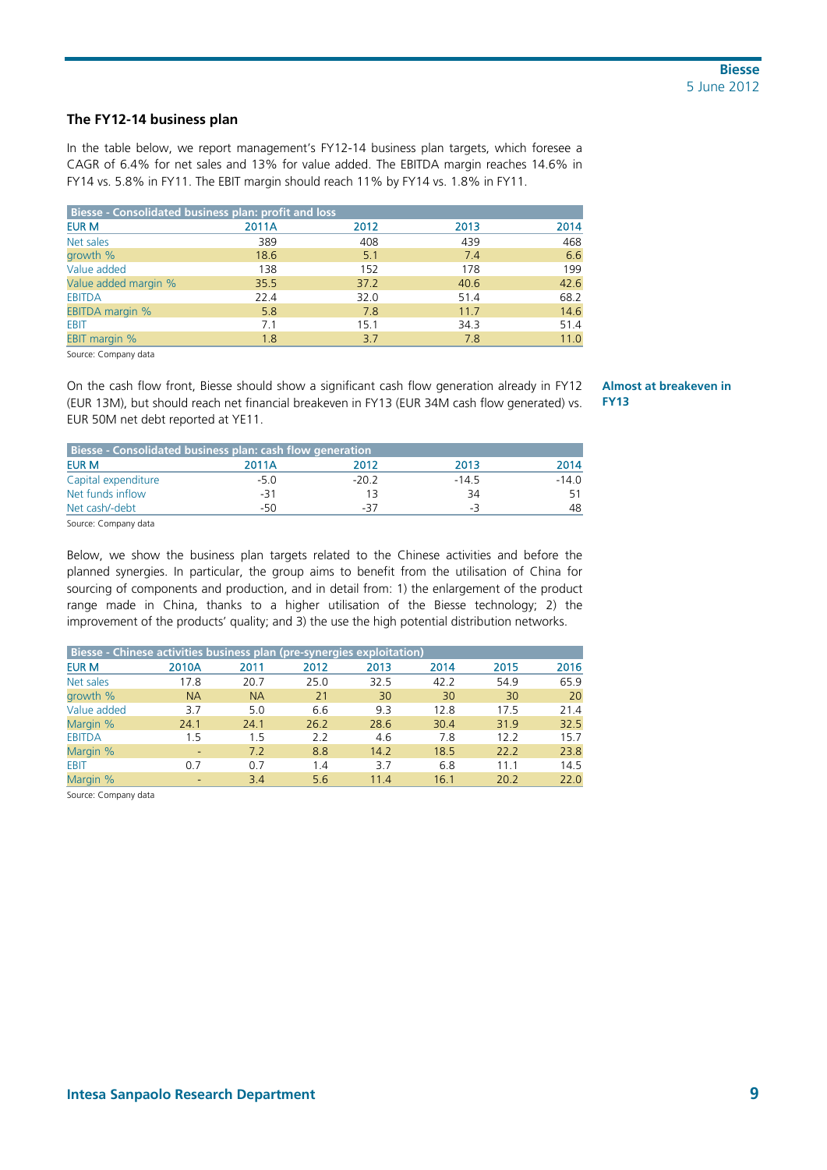### **The FY12-14 business plan**

In the table below, we report management's FY12-14 business plan targets, which foresee a CAGR of 6.4% for net sales and 13% for value added. The EBITDA margin reaches 14.6% in FY14 vs. 5.8% in FY11. The EBIT margin should reach 11% by FY14 vs. 1.8% in FY11.

| Biesse - Consolidated business plan: profit and loss |       |      |      |      |  |  |
|------------------------------------------------------|-------|------|------|------|--|--|
| EUR M                                                | 2011A | 2012 | 2013 | 2014 |  |  |
| Net sales                                            | 389   | 408  | 439  | 468  |  |  |
| growth %                                             | 18.6  | 5.1  | 7.4  | 6.6  |  |  |
| Value added                                          | 138   | 152  | 178  | 199  |  |  |
| Value added margin %                                 | 35.5  | 37.2 | 40.6 | 42.6 |  |  |
| <b>EBITDA</b>                                        | 22.4  | 32.0 | 51.4 | 68.2 |  |  |
| <b>EBITDA margin %</b>                               | 5.8   | 7.8  | 11.7 | 14.6 |  |  |
| <b>EBIT</b>                                          | 7.1   | 15.1 | 34.3 | 51.4 |  |  |
| <b>EBIT margin %</b>                                 | 1.8   | 3.7  | 7.8  | 11.0 |  |  |

Source: Company data

On the cash flow front, Biesse should show a significant cash flow generation already in FY12 (EUR 13M), but should reach net financial breakeven in FY13 (EUR 34M cash flow generated) vs. EUR 50M net debt reported at YE11.

| Biesse - Consolidated business plan: cash flow generation |        |        |         |         |
|-----------------------------------------------------------|--------|--------|---------|---------|
| <b>EUR M</b>                                              | 2011A  | 2012   | 2013    | 2014    |
| Capital expenditure                                       | $-5.0$ | $-202$ | $-14.5$ | $-14.0$ |
| Net funds inflow                                          | $-31$  |        | 34      |         |
| Net cash/-debt                                            | -50    | -37    | -3      |         |

Source: Company data

Below, we show the business plan targets related to the Chinese activities and before the planned synergies. In particular, the group aims to benefit from the utilisation of China for sourcing of components and production, and in detail from: 1) the enlargement of the product range made in China, thanks to a higher utilisation of the Biesse technology; 2) the improvement of the products' quality; and 3) the use the high potential distribution networks.

| Biesse - Chinese activities business plan (pre-synergies exploitation) |                          |           |      |      |      |      |      |
|------------------------------------------------------------------------|--------------------------|-----------|------|------|------|------|------|
| <b>EUR M</b>                                                           | 2010A                    | 2011      | 2012 | 2013 | 2014 | 2015 | 2016 |
| Net sales                                                              | 17.8                     | 20.7      | 25.0 | 32.5 | 42.2 | 54.9 | 65.9 |
| growth %                                                               | <b>NA</b>                | <b>NA</b> | 21   | 30   | 30   | 30   | 20   |
| Value added                                                            | 3.7                      | 5.0       | 6.6  | 9.3  | 12.8 | 17.5 | 21.4 |
| Margin %                                                               | 24.1                     | 24.1      | 26.2 | 28.6 | 30.4 | 31.9 | 32.5 |
| <b>EBITDA</b>                                                          | 1.5                      | 1.5       | 2.2  | 4.6  | 7.8  | 12.2 | 15.7 |
| Margin %                                                               | $\overline{\phantom{0}}$ | 7.2       | 8.8  | 14.2 | 18.5 | 22.2 | 23.8 |
| <b>EBIT</b>                                                            | 0.7                      | 0.7       | 1.4  | 3.7  | 6.8  | 11.1 | 14.5 |
| Margin %                                                               |                          | 3.4       | 5.6  | 11.4 | 16.1 | 20.2 | 22.0 |

Source: Company data

**Almost at breakeven in FY13**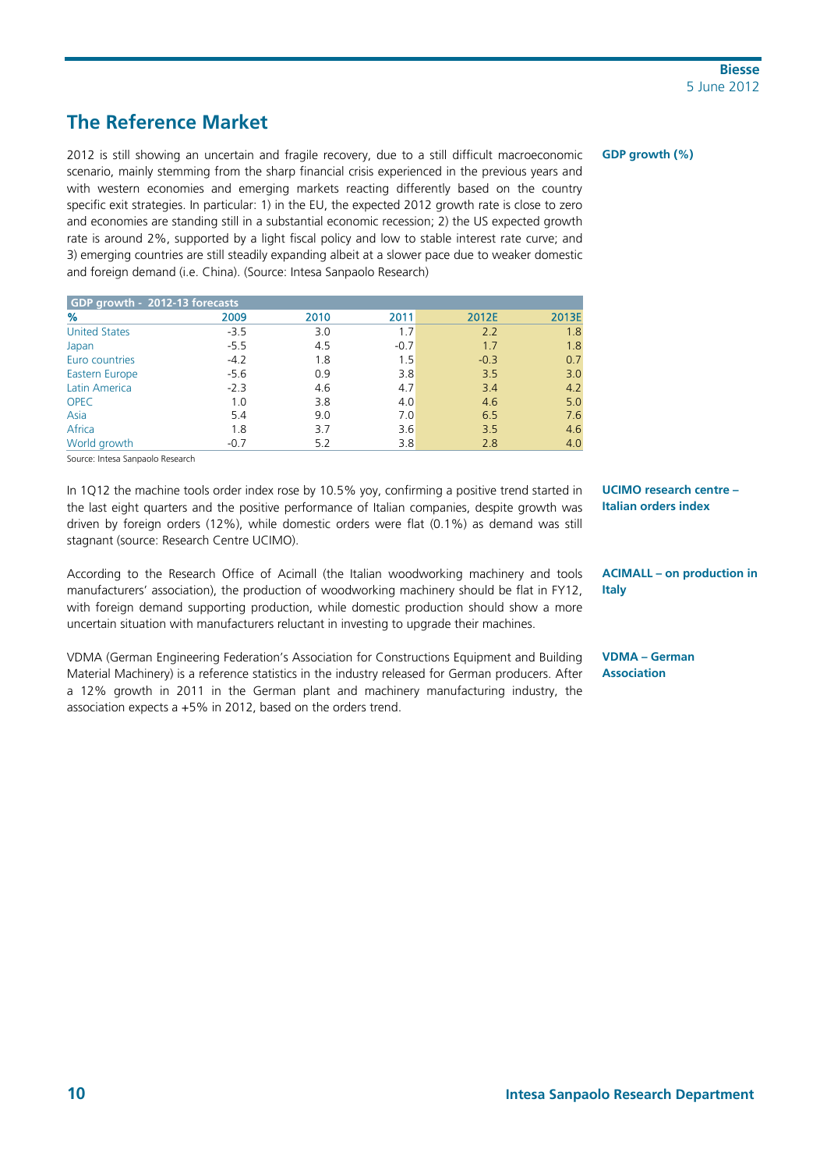## **The Reference Market**

2012 is still showing an uncertain and fragile recovery, due to a still difficult macroeconomic scenario, mainly stemming from the sharp financial crisis experienced in the previous years and with western economies and emerging markets reacting differently based on the country specific exit strategies. In particular: 1) in the EU, the expected 2012 growth rate is close to zero and economies are standing still in a substantial economic recession; 2) the US expected growth rate is around 2%, supported by a light fiscal policy and low to stable interest rate curve; and 3) emerging countries are still steadily expanding albeit at a slower pace due to weaker domestic and foreign demand (i.e. China). (Source: Intesa Sanpaolo Research)

| GDP growth - 2012-13 forecasts |        |      |        |        |       |
|--------------------------------|--------|------|--------|--------|-------|
| %                              | 2009   | 2010 | 2011   | 2012E  | 2013E |
| <b>United States</b>           | $-3.5$ | 3.0  | 1.7    | 2.2    | 1.8   |
| Japan                          | $-5.5$ | 4.5  | $-0.7$ | 1.7    | 1.8   |
| Euro countries                 | $-4.2$ | 1.8  | 1.5    | $-0.3$ | 0.7   |
| <b>Eastern Europe</b>          | $-5.6$ | 0.9  | 3.8    | 3.5    | 3.0   |
| <b>Latin America</b>           | $-2.3$ | 4.6  | 4.7    | 3.4    | 4.2   |
| <b>OPEC</b>                    | 1.0    | 3.8  | 4.0    | 4.6    | 5.0   |
| Asia                           | 5.4    | 9.0  | 7.0    | 6.5    | 7.6   |
| Africa                         | 1.8    | 3.7  | 3.6    | 3.5    | 4.6   |
| World growth                   | $-0.7$ | 5.2  | 3.8    | 2.8    | 4.0   |

Source: Intesa Sanpaolo Research

In 1Q12 the machine tools order index rose by 10.5% yoy, confirming a positive trend started in the last eight quarters and the positive performance of Italian companies, despite growth was driven by foreign orders (12%), while domestic orders were flat (0.1%) as demand was still stagnant (source: Research Centre UCIMO).

According to the Research Office of Acimall (the Italian woodworking machinery and tools manufacturers' association), the production of woodworking machinery should be flat in FY12, with foreign demand supporting production, while domestic production should show a more uncertain situation with manufacturers reluctant in investing to upgrade their machines.

VDMA (German Engineering Federation's Association for Constructions Equipment and Building Material Machinery) is a reference statistics in the industry released for German producers. After a 12% growth in 2011 in the German plant and machinery manufacturing industry, the association expects a +5% in 2012, based on the orders trend.

**GDP growth (%)** 

**UCIMO research centre – Italian orders index** 

**ACIMALL – on production in Italy** 

**VDMA – German Association**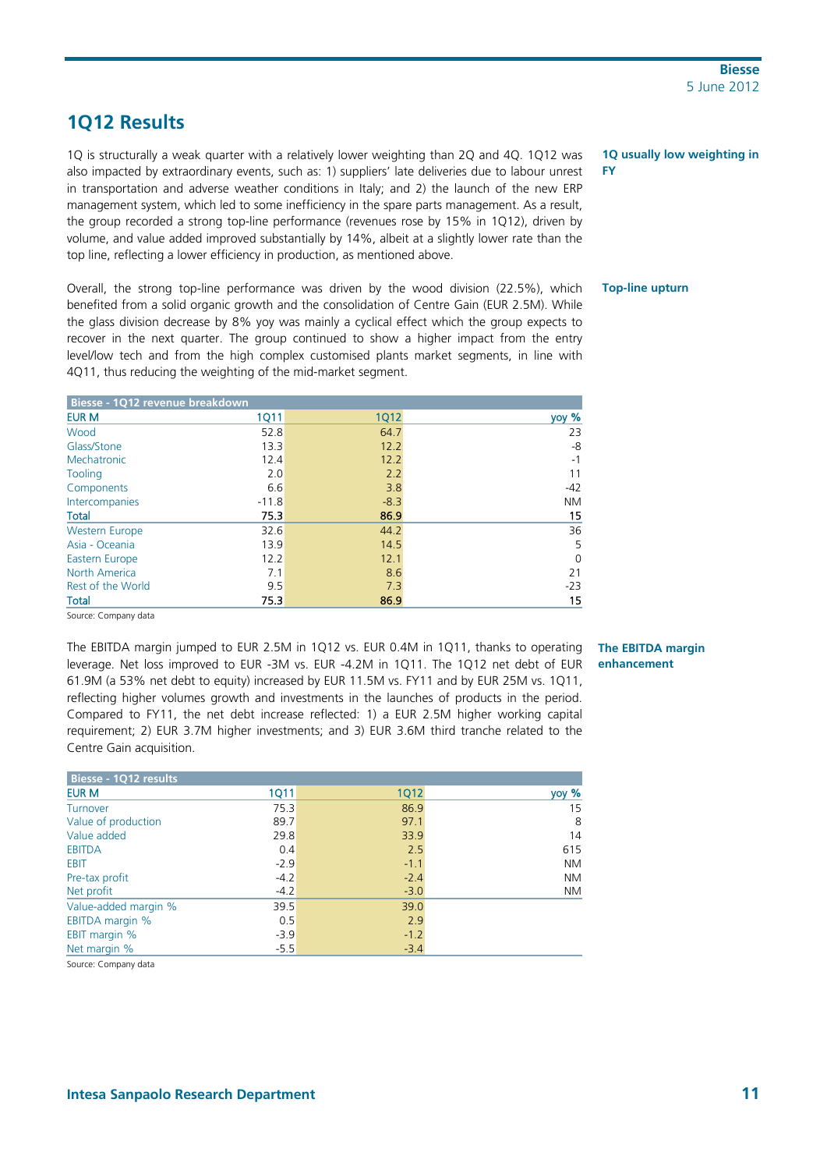## **1Q12 Results**

1Q is structurally a weak quarter with a relatively lower weighting than 2Q and 4Q. 1Q12 was also impacted by extraordinary events, such as: 1) suppliers' late deliveries due to labour unrest in transportation and adverse weather conditions in Italy; and 2) the launch of the new ERP management system, which led to some inefficiency in the spare parts management. As a result, the group recorded a strong top-line performance (revenues rose by 15% in 1Q12), driven by volume, and value added improved substantially by 14%, albeit at a slightly lower rate than the top line, reflecting a lower efficiency in production, as mentioned above.

Overall, the strong top-line performance was driven by the wood division (22.5%), which benefited from a solid organic growth and the consolidation of Centre Gain (EUR 2.5M). While the glass division decrease by 8% yoy was mainly a cyclical effect which the group expects to recover in the next quarter. The group continued to show a higher impact from the entry level/low tech and from the high complex customised plants market segments, in line with 4Q11, thus reducing the weighting of the mid-market segment.

| Biesse - 1012 revenue breakdown |             |             |           |
|---------------------------------|-------------|-------------|-----------|
| <b>EUR M</b>                    | <b>1Q11</b> | <b>1Q12</b> | yoy %     |
| Wood                            | 52.8        | 64.7        | 23        |
| Glass/Stone                     | 13.3        | 12.2        | -8        |
| Mechatronic                     | 12.4        | 12.2        | $-1$      |
| Tooling                         | 2.0         | 2.2         | 11        |
| Components                      | 6.6         | 3.8         | $-42$     |
| Intercompanies                  | $-11.8$     | $-8.3$      | <b>NM</b> |
| <b>Total</b>                    | 75.3        | 86.9        | 15        |
| <b>Western Europe</b>           | 32.6        | 44.2        | 36        |
| Asia - Oceania                  | 13.9        | 14.5        | 5         |
| <b>Eastern Europe</b>           | 12.2        | 12.1        | 0         |
| North America                   | 7.1         | 8.6         | 21        |
| Rest of the World               | 9.5         | 7.3         | $-23$     |
| <b>Total</b>                    | 75.3        | 86.9        | 15        |

Source: Company data

The EBITDA margin jumped to EUR 2.5M in 1Q12 vs. EUR 0.4M in 1Q11, thanks to operating leverage. Net loss improved to EUR -3M vs. EUR -4.2M in 1Q11. The 1Q12 net debt of EUR 61.9M (a 53% net debt to equity) increased by EUR 11.5M vs. FY11 and by EUR 25M vs. 1Q11, reflecting higher volumes growth and investments in the launches of products in the period. Compared to FY11, the net debt increase reflected: 1) a EUR 2.5M higher working capital requirement; 2) EUR 3.7M higher investments; and 3) EUR 3.6M third tranche related to the Centre Gain acquisition.

| Biesse - 1Q12 results  |             |             |           |
|------------------------|-------------|-------------|-----------|
| <b>EUR M</b>           | <b>1Q11</b> | <b>1Q12</b> | yoy %     |
| Turnover               | 75.3        | 86.9        | 15        |
| Value of production    | 89.7        | 97.1        | 8         |
| Value added            | 29.8        | 33.9        | 14        |
| <b>EBITDA</b>          | 0.4         | 2.5         | 615       |
| <b>EBIT</b>            | $-2.9$      | $-1.1$      | <b>NM</b> |
| Pre-tax profit         | $-4.2$      | $-2.4$      | <b>NM</b> |
| Net profit             | $-4.2$      | $-3.0$      | <b>NM</b> |
| Value-added margin %   | 39.5        | 39.0        |           |
| <b>EBITDA</b> margin % | 0.5         | 2.9         |           |
| <b>EBIT margin %</b>   | $-3.9$      | $-1.2$      |           |
| Net margin %           | $-5.5$      | $-3.4$      |           |

Source: Company data

#### **1Q usually low weighting in FY**

#### **Top-line upturn**

### **The EBITDA margin enhancement**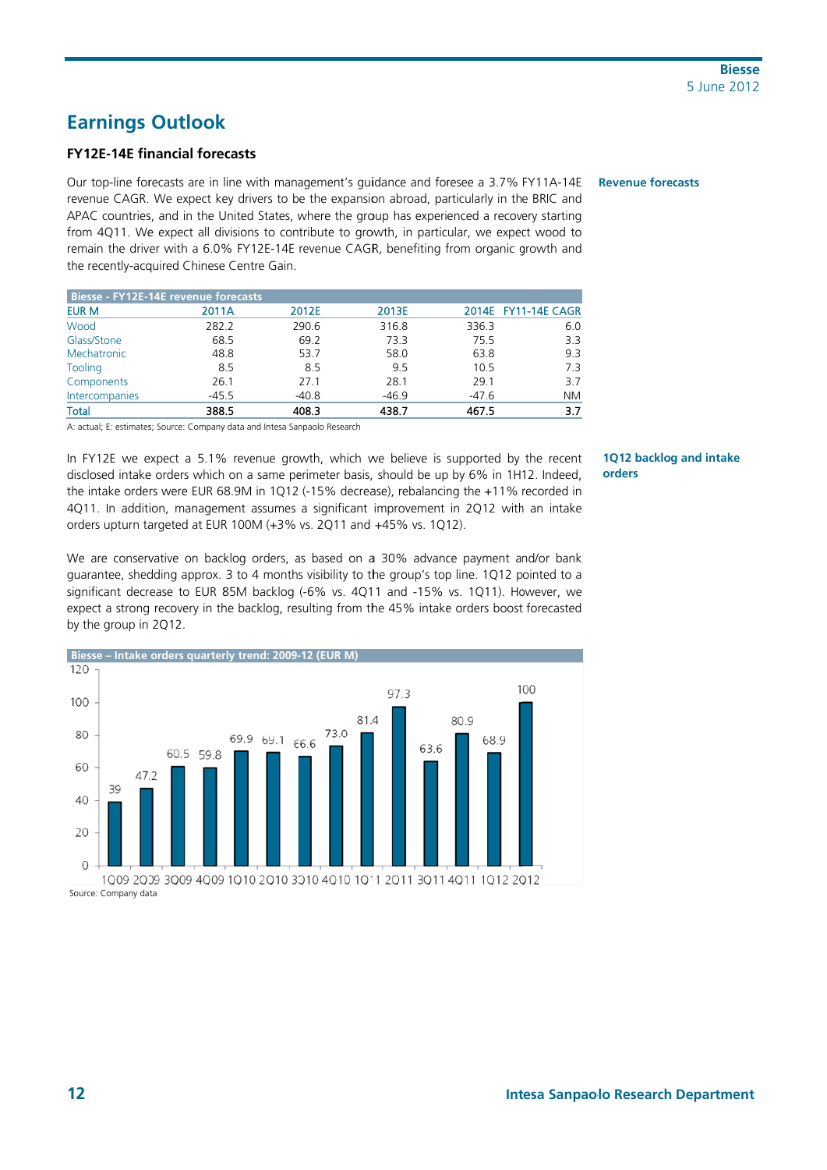## **Earnings Outlook**

### **FY12E-14E financial forecasts**

Our top-line forecasts are in line with management's guidance and foresee a 3.7% FY11A-14E revenue CAGR. We expect key drivers to be the expansion abroad, particularly in the BRIC and APAC countries, and in the United States, where the group has experienced a recovery starting from 4Q11. We expect all divisions to contribute to growth, in particular, we expect wood to remain the driver with a 6.0% FY12E-14E revenue CAGR, benefiting from organic growth and the recently-acquired Chinese Centre Gain.

| Biesse - FY12E-14E revenue forecasts |         |         |         |         |                     |
|--------------------------------------|---------|---------|---------|---------|---------------------|
| <b>EUR M</b>                         | 2011A   | 2012E   | 2013E   |         | 2014E FY11-14E CAGR |
| Wood                                 | 282.2   | 290.6   | 316.8   | 336.3   | 6.0                 |
| Glass/Stone                          | 68.5    | 69.2    | 73.3    | 75.5    | 3.3                 |
| Mechatronic                          | 48.8    | 53.7    | 58.0    | 63.8    | 9.3                 |
| Tooling                              | 8.5     | 8.5     | 9.5     | 10.5    | 7.3                 |
| Components                           | 26.1    | 27.1    | 28.1    | 29.1    | 3.7                 |
| Intercompanies                       | $-45.5$ | $-40.8$ | $-46.9$ | $-47.6$ | <b>NM</b>           |
| <b>Total</b>                         | 388.5   | 408.3   | 438.7   | 467.5   | 3.7                 |

A: actual; E: estimates; Source: Company data and Intesa Sanpaolo Research

In FY12E we expect a 5.1% revenue growth, which we believe is supported by the recent disclosed intake orders which on a same perimeter basis, should be up by 6% in 1H12. Indeed, the intake orders were EUR 68.9M in 1Q12 (-15% decrease), rebalancing the +11% recorded in 4Q11. In addition, management assumes a significant improvement in 2Q12 with an intake orders upturn targeted at EUR 100M (+3% vs. 2Q11 and +45% vs. 1Q12).

We are conservative on backlog orders, as based on a 30% advance payment and/or bank guarantee, shedding approx. 3 to 4 months visibility to the group's top line. 1Q12 pointed to a significant decrease to EUR 85M backlog (-6% vs. 4Q11 and -15% vs. 1Q11). However, we expect a strong recovery in the backlog, resulting from the 45% intake orders boost forecasted by the group in 2Q12.



Source: Company data

#### **Revenue forecasts**

#### 1Q12 backlog and intake orders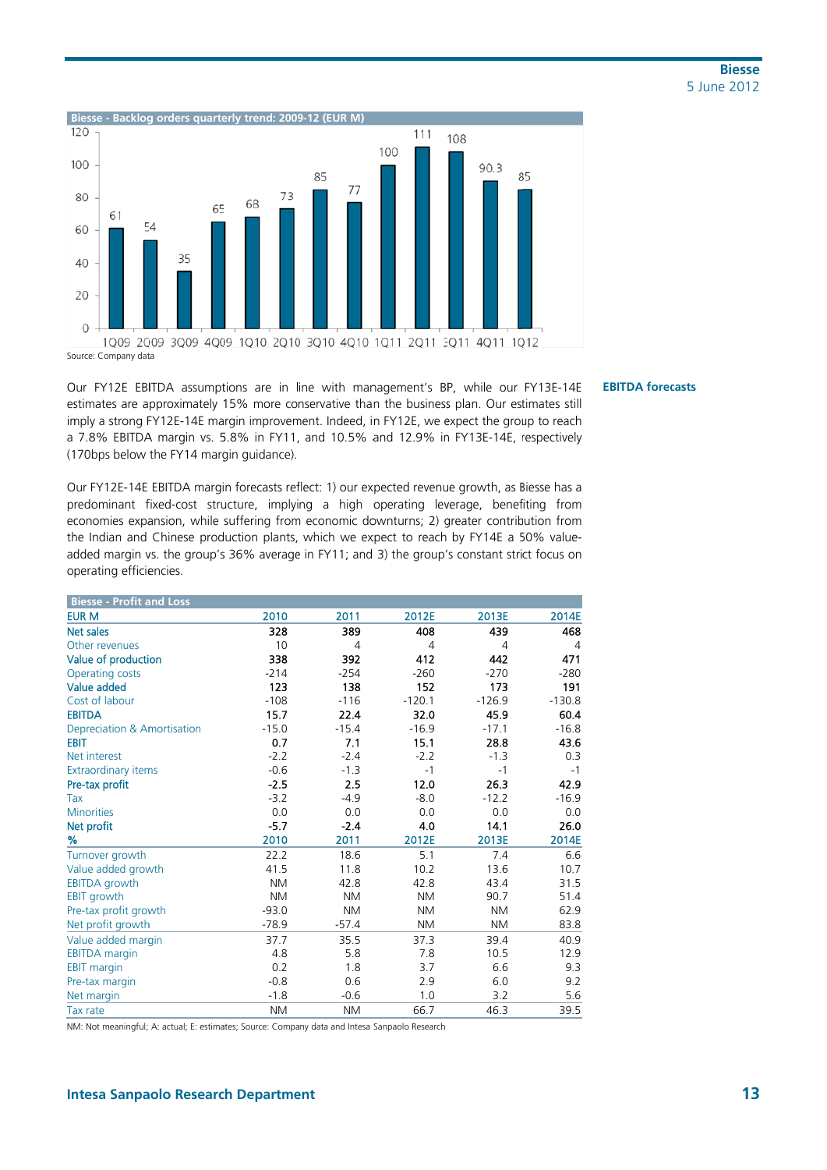

Our FY12E EBITDA assumptions are in line with management's BP, while our FY13E-14E estimates are approximately 15% more conservative than the business plan. Our estimates still imply a strong FY12E-14E margin improvement. Indeed, in FY12E, we expect the group to reach a 7.8% EBITDA margin vs. 5.8% in FY11, and 10.5% and 12.9% in FY13E-14E, respectively (170bps below the FY14 margin guidance).

Our FY12E-14E EBITDA margin forecasts reflect: 1) our expected revenue growth, as Biesse has a predominant fixed-cost structure, implying a high operating leverage, benefiting from economies expansion, while suffering from economic downturns; 2) greater contribution from the Indian and Chinese production plants, which we expect to reach by FY14E a 50% valueadded margin vs. the group's 36% average in FY11; and 3) the group's constant strict focus on operating efficiencies.

| <b>Biesse - Profit and Loss</b> |           |           |           |                |                |
|---------------------------------|-----------|-----------|-----------|----------------|----------------|
| <b>EUR M</b>                    | 2010      | 2011      | 2012E     | 2013E          | 2014E          |
| Net sales                       | 328       | 389       | 408       | 439            | 468            |
| Other revenues                  | 10        | 4         | 4         | $\overline{4}$ | $\overline{4}$ |
| Value of production             | 338       | 392       | 412       | 442            | 471            |
| Operating costs                 | $-214$    | $-254$    | $-260$    | $-270$         | $-280$         |
| Value added                     | 123       | 138       | 152       | 173            | 191            |
| Cost of labour                  | $-108$    | $-116$    | $-120.1$  | $-126.9$       | $-130.8$       |
| <b>EBITDA</b>                   | 15.7      | 22.4      | 32.0      | 45.9           | 60.4           |
| Depreciation & Amortisation     | $-15.0$   | $-15.4$   | $-16.9$   | $-17.1$        | $-16.8$        |
| <b>EBIT</b>                     | 0.7       | 7.1       | 15.1      | 28.8           | 43.6           |
| Net interest                    | $-2.2$    | $-2.4$    | $-2.2$    | $-1.3$         | 0.3            |
| <b>Extraordinary items</b>      | $-0.6$    | $-1.3$    | $-1$      | $-1$           | $-1$           |
| Pre-tax profit                  | $-2.5$    | 2.5       | 12.0      | 26.3           | 42.9           |
| Tax                             | $-3.2$    | $-4.9$    | $-8.0$    | $-12.2$        | $-16.9$        |
| <b>Minorities</b>               | 0.0       | 0.0       | 0.0       | 0.0            | 0.0            |
| Net profit                      | $-5.7$    | $-2.4$    | 4.0       | 14.1           | 26.0           |
| %                               | 2010      | 2011      | 2012E     | 2013E          | 2014E          |
| Turnover growth                 | 22.2      | 18.6      | 5.1       | 7.4            | 6.6            |
| Value added growth              | 41.5      | 11.8      | 10.2      | 13.6           | 10.7           |
| <b>EBITDA</b> growth            | <b>NM</b> | 42.8      | 42.8      | 43.4           | 31.5           |
| EBIT growth                     | <b>NM</b> | <b>NM</b> | <b>NM</b> | 90.7           | 51.4           |
| Pre-tax profit growth           | $-93.0$   | <b>NM</b> | <b>NM</b> | <b>NM</b>      | 62.9           |
| Net profit growth               | $-78.9$   | $-57.4$   | <b>NM</b> | <b>NM</b>      | 83.8           |
| Value added margin              | 37.7      | 35.5      | 37.3      | 39.4           | 40.9           |
| <b>EBITDA</b> margin            | 4.8       | 5.8       | 7.8       | 10.5           | 12.9           |
| <b>EBIT margin</b>              | 0.2       | 1.8       | 3.7       | 6.6            | 9.3            |
| Pre-tax margin                  | $-0.8$    | 0.6       | 2.9       | 6.0            | 9.2            |
| Net margin                      | $-1.8$    | $-0.6$    | 1.0       | 3.2            | 5.6            |
| Tax rate                        | <b>NM</b> | <b>NM</b> | 66.7      | 46.3           | 39.5           |

NM: Not meaningful; A: actual; E: estimates; Source: Company data and Intesa Sanpaolo Research

**EBITDA forecasts**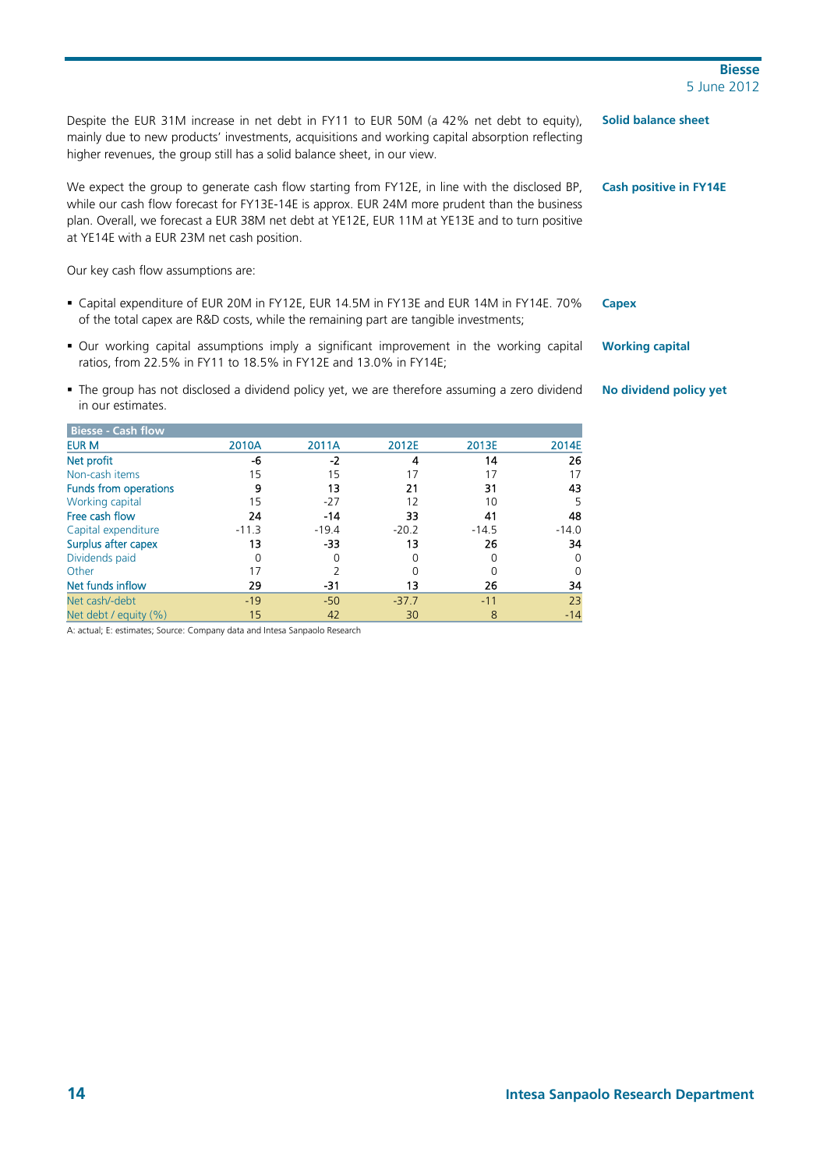## **14 Intesa Sanpaolo Research Department**

**Biesse**  5 June 2012

Despite the EUR 31M increase in net debt in FY11 to EUR 50M (a 42% net debt to equity), mainly due to new products' investments, acquisitions and working capital absorption reflecting higher revenues, the group still has a solid balance sheet, in our view.

We expect the group to generate cash flow starting from FY12E, in line with the disclosed BP, while our cash flow forecast for FY13E-14E is approx. EUR 24M more prudent than the business plan. Overall, we forecast a EUR 38M net debt at YE12E, EUR 11M at YE13E and to turn positive at YE14E with a EUR 23M net cash position.

Our key cash flow assumptions are:

- Capital expenditure of EUR 20M in FY12E, EUR 14.5M in FY13E and EUR 14M in FY14E. 70% of the total capex are R&D costs, while the remaining part are tangible investments;
- Our working capital assumptions imply a significant improvement in the working capital ratios, from 22.5% in FY11 to 18.5% in FY12E and 13.0% in FY14E;
- The group has not disclosed a dividend policy yet, we are therefore assuming a zero dividend in our estimates.

| <b>Biesse - Cash flow</b> |         |         |         |         |          |
|---------------------------|---------|---------|---------|---------|----------|
| <b>EUR M</b>              | 2010A   | 2011A   | 2012E   | 2013E   | 2014E    |
| Net profit                | -6      | $-2$    | 4       | 14      | 26       |
| Non-cash items            | 15      | 15      | 17      | 17      | 17       |
| Funds from operations     | 9       | 13      | 21      | 31      | 43       |
| Working capital           | 15      | $-27$   | 12      | 10      | 5        |
| Free cash flow            | 24      | $-14$   | 33      | 41      | 48       |
| Capital expenditure       | $-11.3$ | $-19.4$ | $-20.2$ | $-14.5$ | $-14.0$  |
| Surplus after capex       | 13      | -33     | 13      | 26      | 34       |
| Dividends paid            |         | 0       | 0       | 0       | 0        |
| Other                     | 17      |         | 0       | O       | $\Omega$ |
| Net funds inflow          | 29      | -31     | 13      | 26      | 34       |
| Net cash/-debt            | $-19$   | $-50$   | $-37.7$ | $-11$   | 23       |
| Net debt / equity (%)     | 15      | 42      | 30      | 8       | $-14$    |

A: actual; E: estimates; Source: Company data and Intesa Sanpaolo Research

**Solid balance sheet** 

**Cash positive in FY14E** 

**Capex** 

**Working capital** 

**No dividend policy yet**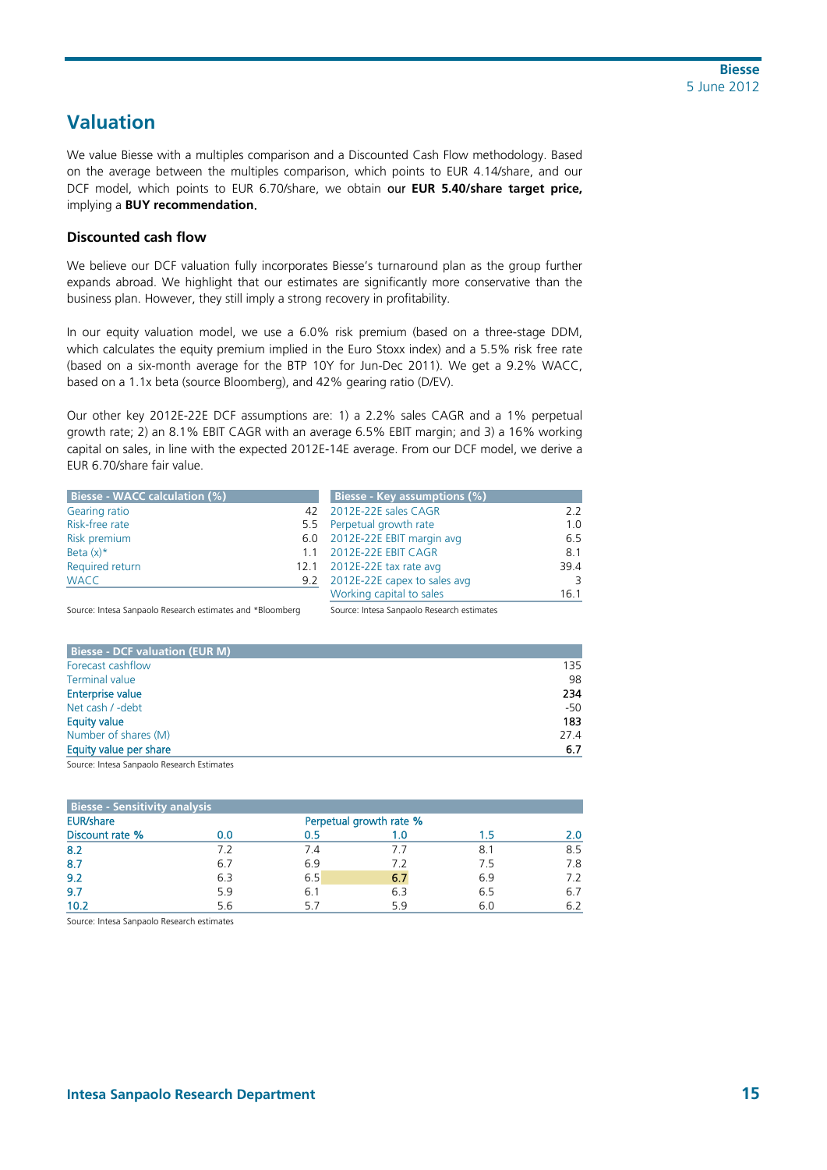## **Valuation**

We value Biesse with a multiples comparison and a Discounted Cash Flow methodology. Based on the average between the multiples comparison, which points to EUR 4.14/share, and our DCF model, which points to EUR 6.70/share, we obtain our **EUR 5.40/share target price,** implying a **BUY recommendation**.

### **Discounted cash flow**

We believe our DCF valuation fully incorporates Biesse's turnaround plan as the group further expands abroad. We highlight that our estimates are significantly more conservative than the business plan. However, they still imply a strong recovery in profitability.

In our equity valuation model, we use a 6.0% risk premium (based on a three-stage DDM, which calculates the equity premium implied in the Euro Stoxx index) and a 5.5% risk free rate (based on a six-month average for the BTP 10Y for Jun-Dec 2011). We get a 9.2% WACC, based on a 1.1x beta (source Bloomberg), and 42% gearing ratio (D/EV).

Our other key 2012E-22E DCF assumptions are: 1) a 2.2% sales CAGR and a 1% perpetual growth rate; 2) an 8.1% EBIT CAGR with an average 6.5% EBIT margin; and 3) a 16% working capital on sales, in line with the expected 2012E-14E average. From our DCF model, we derive a EUR 6.70/share fair value.

| <b>Biesse - WACC calculation (%)</b> |    | Biesse - Key assumptions (%)     |      |
|--------------------------------------|----|----------------------------------|------|
| Gearing ratio                        |    | 42 2012E-22E sales CAGR          | 22   |
| Risk-free rate                       |    | 5.5 Perpetual growth rate        | 1.0  |
| Risk premium                         |    | 6.0 2012E-22E EBIT margin avg    | 6.5  |
| Beta $(x)^*$                         | 11 | 2012E-22E EBIT CAGR              | 8.1  |
| Required return                      |    | 12.1 2012E-22E tax rate avg      | 39.4 |
| <b>WACC</b>                          |    | 9.2 2012E-22E capex to sales avg | 3    |
|                                      |    | Working capital to sales         | 16.1 |

Source: Intesa Sanpaolo Research estimates and \*Bloomberg Source: Intesa Sanpaolo Research estimates

| <b>Biesse - DCF valuation (EUR M)</b> |       |
|---------------------------------------|-------|
| Forecast cashflow                     | 135   |
| <b>Terminal value</b>                 | 98    |
| <b>Enterprise value</b>               | 234   |
| Net cash / -debt                      | $-50$ |
| <b>Equity value</b>                   | 183   |
| Number of shares (M)                  | 27.4  |
| Equity value per share                | 6.7   |

Source: Intesa Sanpaolo Research Estimates

| <b>Biesse - Sensitivity analysis</b> |     |     |                         |     |     |  |  |  |
|--------------------------------------|-----|-----|-------------------------|-----|-----|--|--|--|
| <b>EUR/share</b>                     |     |     | Perpetual growth rate % |     |     |  |  |  |
| Discount rate %                      | 0.0 |     | 1.0                     | 1.5 |     |  |  |  |
| 8.2                                  | 7.2 | 7.4 | 7.1                     | 8.1 | 8.5 |  |  |  |
| 8.7                                  | 6.7 | 6.9 | 7.2                     | 75  | 7.8 |  |  |  |
| 9.2                                  | 6.3 | 6.5 | 6.7                     | 6.9 | 7.2 |  |  |  |
| 9.7                                  | 5.9 | 6.1 | 6.3                     | 6.5 | 6.7 |  |  |  |
| 10.2                                 | 5.6 | 57  | 5.9                     | 6.0 | 6.2 |  |  |  |

Source: Intesa Sanpaolo Research estimates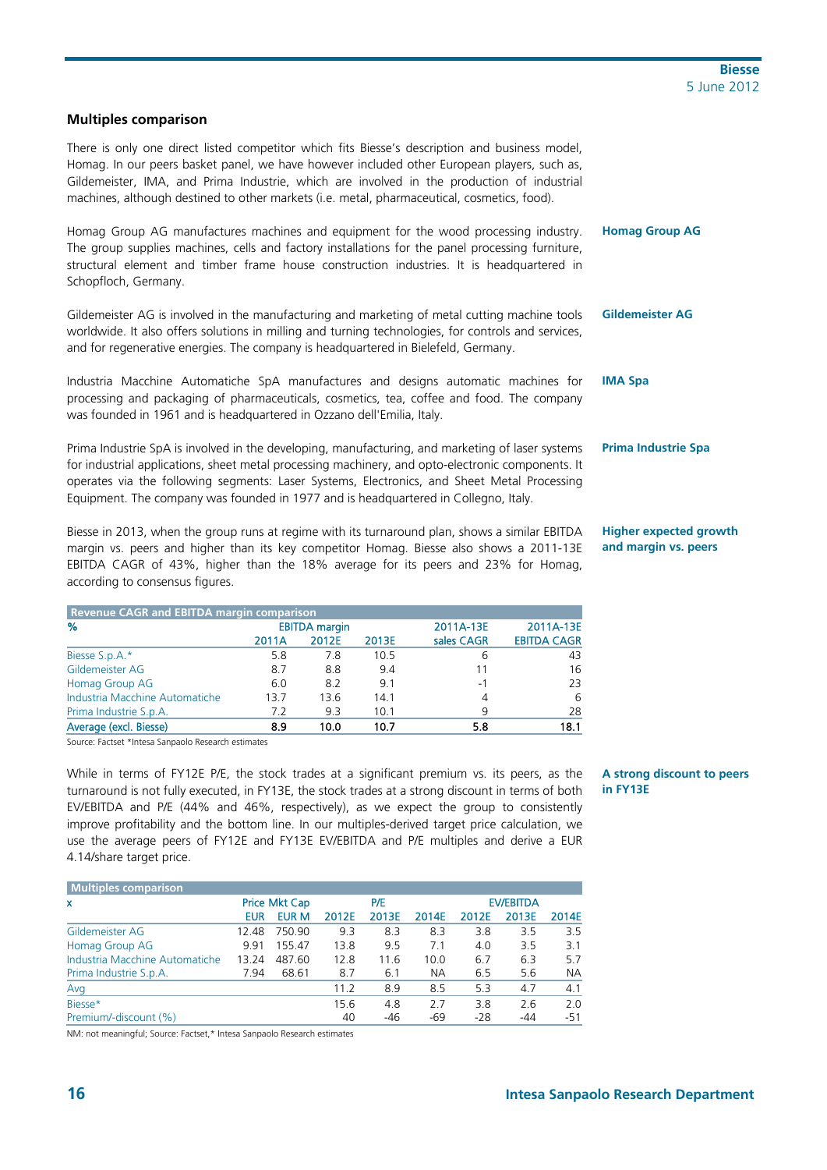### **Multiples comparison**

There is only one direct listed competitor which fits Biesse's description and business model, Homag. In our peers basket panel, we have however included other European players, such as, Gildemeister, IMA, and Prima Industrie, which are involved in the production of industrial machines, although destined to other markets (i.e. metal, pharmaceutical, cosmetics, food).

Homag Group AG manufactures machines and equipment for the wood processing industry. The group supplies machines, cells and factory installations for the panel processing furniture, structural element and timber frame house construction industries. It is headquartered in Schopfloch, Germany.

Gildemeister AG is involved in the manufacturing and marketing of metal cutting machine tools worldwide. It also offers solutions in milling and turning technologies, for controls and services, and for regenerative energies. The company is headquartered in Bielefeld, Germany.

Industria Macchine Automatiche SpA manufactures and designs automatic machines for processing and packaging of pharmaceuticals, cosmetics, tea, coffee and food. The company was founded in 1961 and is headquartered in Ozzano dell'Emilia, Italy.

Prima Industrie SpA is involved in the developing, manufacturing, and marketing of laser systems for industrial applications, sheet metal processing machinery, and opto-electronic components. It operates via the following segments: Laser Systems, Electronics, and Sheet Metal Processing Equipment. The company was founded in 1977 and is headquartered in Collegno, Italy.

Biesse in 2013, when the group runs at regime with its turnaround plan, shows a similar EBITDA margin vs. peers and higher than its key competitor Homag. Biesse also shows a 2011-13E EBITDA CAGR of 43%, higher than the 18% average for its peers and 23% for Homag, according to consensus figures.

| <b>Revenue CAGR and EBITDA margin comparison</b> |       |                      |       |            |                    |
|--------------------------------------------------|-------|----------------------|-------|------------|--------------------|
| %                                                |       | <b>EBITDA</b> margin |       | 2011A-13E  | 2011A-13E          |
|                                                  | 2011A | 2012E                | 2013E | sales CAGR | <b>EBITDA CAGR</b> |
| Biesse S.p.A.*                                   | 5.8   | 7.8                  | 10.5  | 6          | 43                 |
| Gildemeister AG                                  | 8.7   | 8.8                  | 9.4   | 11         | 16                 |
| Homag Group AG                                   | 6.0   | 8.2                  | 9.1   | $-1$       | 23                 |
| Industria Macchine Automatiche                   | 13.7  | 13.6                 | 14.1  | 4          | 6                  |
| Prima Industrie S.p.A.                           | 7.2   | 9.3                  | 10.1  | q          | 28                 |
| Average (excl. Biesse)                           | 8.9   | 10.0                 | 10.7  | 5.8        | 18.1               |

Source: Factset \*Intesa Sanpaolo Research estimates

While in terms of FY12E P/E, the stock trades at a significant premium vs. its peers, as the turnaround is not fully executed, in FY13E, the stock trades at a strong discount in terms of both EV/EBITDA and P/E (44% and 46%, respectively), as we expect the group to consistently improve profitability and the bottom line. In our multiples-derived target price calculation, we use the average peers of FY12E and FY13E EV/EBITDA and P/E multiples and derive a EUR 4.14/share target price.

**A strong discount to peers in FY13E** 

| Multiples comparison           |       |                      |       |       |       |       |                  |           |
|--------------------------------|-------|----------------------|-------|-------|-------|-------|------------------|-----------|
| x                              |       | <b>Price Mkt Cap</b> |       | P/E   |       |       | <b>EV/EBITDA</b> |           |
|                                | EUR   | <b>EUR M</b>         | 2012E | 2013E | 2014E | 2012E | 2013E            | 2014E     |
| Gildemeister AG                | 12.48 | 750.90               | 9.3   | 8.3   | 8.3   | 3.8   | 3.5              | 3.5       |
| Homag Group AG                 | 9.91  | 155.47               | 13.8  | 9.5   | 7.1   | 4.0   | 3.5              | 3.1       |
| Industria Macchine Automatiche | 13.24 | 487.60               | 12.8  | 11.6  | 10.0  | 6.7   | 6.3              | 5.7       |
| Prima Industrie S.p.A.         | 7.94  | 68.61                | 8.7   | 6.1   | NА    | 6.5   | 5.6              | <b>NA</b> |
| Avg                            |       |                      | 11.2  | 8.9   | 8.5   | 5.3   | 4.7              | 4.1       |
| Biesse*                        |       |                      | 15.6  | 4.8   | 2.7   | 3.8   | 2.6              | 2.0       |
| Premium/-discount (%)          |       |                      | 40    | $-46$ | -69   | $-28$ | -44              | $-51$     |

NM: not meaningful; Source: Factset,\* Intesa Sanpaolo Research estimates

**Homag Group AG** 

#### **Gildemeister AG**

**IMA Spa** 

### **Prima Industrie Spa**

### **Higher expected growth and margin vs. peers**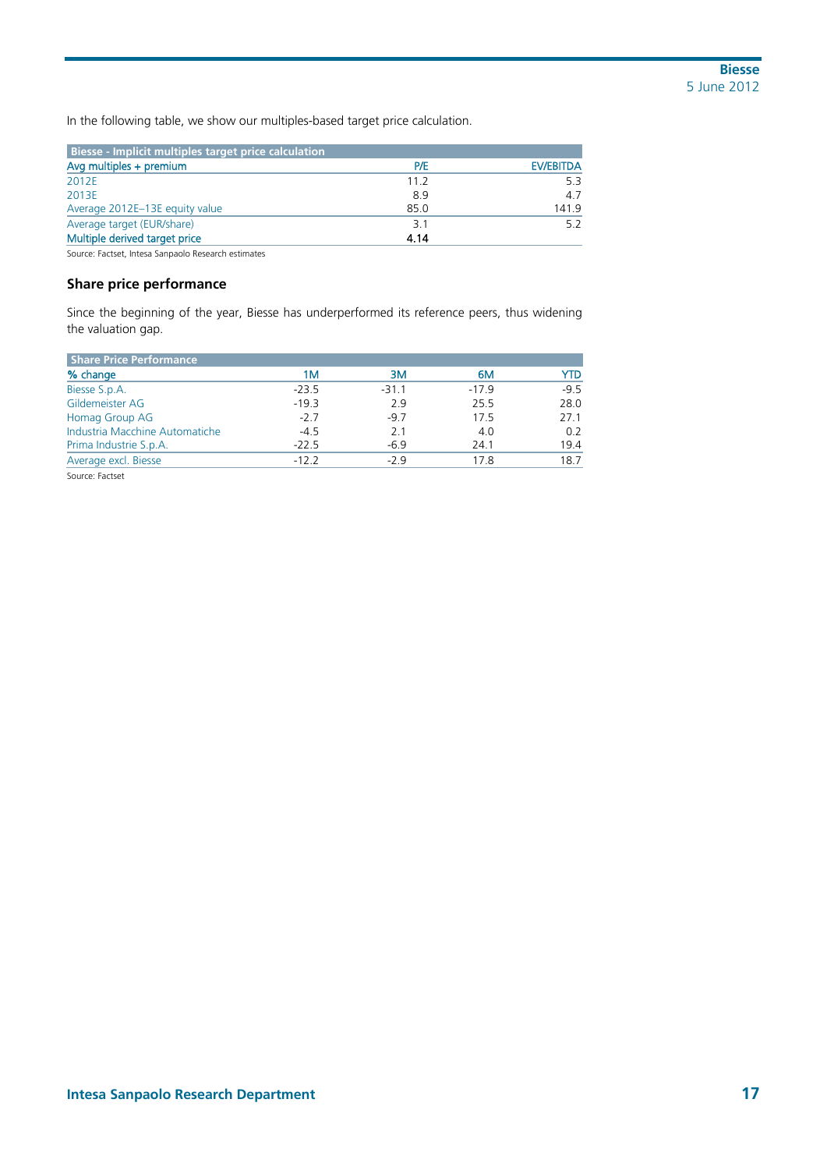In the following table, we show our multiples-based target price calculation.

| Biesse - Implicit multiples target price calculation |      |                  |
|------------------------------------------------------|------|------------------|
| Avg multiples + premium                              | P/E  | <b>EV/EBITDA</b> |
| 2012E                                                | 11.2 | 5.3              |
| 2013E                                                | 89   | 4.7              |
| Average 2012E-13E equity value                       | 85.0 | 1419             |
| Average target (EUR/share)                           | 3.1  |                  |
| Multiple derived target price                        | 4.14 |                  |

Source: Factset, Intesa Sanpaolo Research estimates

### **Share price performance**

Since the beginning of the year, Biesse has underperformed its reference peers, thus widening the valuation gap.

| <b>Share Price Performance</b> |         |         |         |        |
|--------------------------------|---------|---------|---------|--------|
| % change                       | 1М      | 3M      | 6M      | YTD    |
| Biesse S.p.A.                  | $-23.5$ | $-31.1$ | $-17.9$ | $-9.5$ |
| Gildemeister AG                | $-19.3$ | 2.9     | 25.5    | 28.0   |
| Homag Group AG                 | $-2.7$  | $-9.7$  | 17.5    | 27.1   |
| Industria Macchine Automatiche | $-4.5$  | 2.1     | 4.0     | 0.2    |
| Prima Industrie S.p.A.         | $-22.5$ | $-6.9$  | 24.1    | 19.4   |
| Average excl. Biesse           | $-12.2$ | $-2.9$  | 17.8    | 18.7   |
| Source: Factset                |         |         |         |        |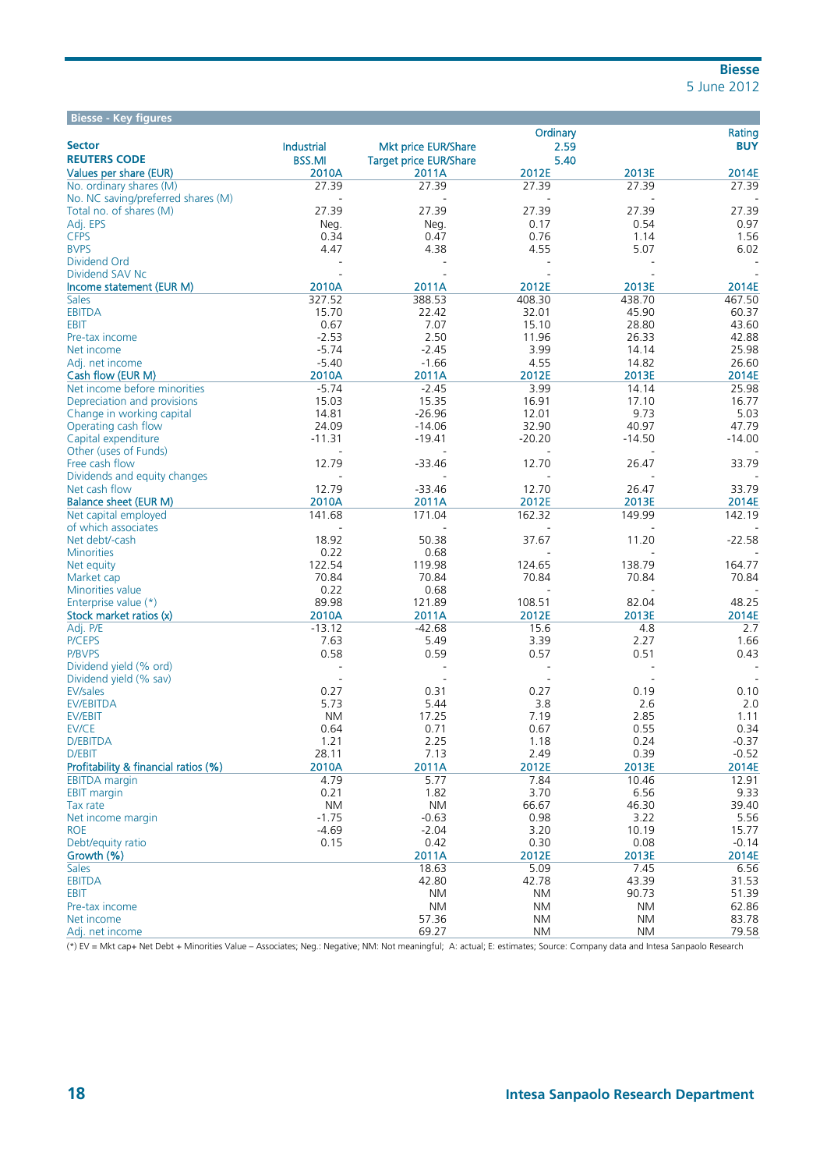| <b>Biesse - Key figures</b>          |               |                               |              |               |               |
|--------------------------------------|---------------|-------------------------------|--------------|---------------|---------------|
|                                      |               |                               | Ordinary     |               | Rating        |
| <b>Sector</b>                        | Industrial    | Mkt price EUR/Share           | 2.59         |               | <b>BUY</b>    |
| <b>REUTERS CODE</b>                  | <b>BSS.MI</b> | <b>Target price EUR/Share</b> | 5.40         |               |               |
| <b>Values per share (EUR)</b>        | 2010A         | 2011A                         | 2012E        | 2013E         | 2014E         |
| No. ordinary shares (M)              | 27.39         | 27.39                         | 27.39        | 27.39         | 27.39         |
| No. NC saving/preferred shares (M)   |               | $\overline{a}$                |              |               |               |
| Total no. of shares (M)              | 27.39         | 27.39                         | 27.39        | 27.39         | 27.39         |
| Adj. EPS                             | Neg.          | Neg.                          | 0.17         | 0.54          | 0.97          |
| <b>CFPS</b>                          | 0.34          | 0.47<br>4.38                  | 0.76<br>4.55 | 1.14          | 1.56          |
| <b>BVPS</b>                          | 4.47          |                               |              | 5.07          | 6.02          |
| Dividend Ord<br>Dividend SAV Nc      |               |                               |              |               |               |
| Income statement (EUR M)             | 2010A         | 2011A                         | 2012E        | 2013E         | 2014E         |
| <b>Sales</b>                         | 327.52        | 388.53                        | 408.30       | 438.70        | 467.50        |
| <b>EBITDA</b>                        | 15.70         | 22.42                         | 32.01        | 45.90         | 60.37         |
| EBIT                                 | 0.67          | 7.07                          | 15.10        | 28.80         | 43.60         |
| Pre-tax income                       | $-2.53$       | 2.50                          | 11.96        | 26.33         | 42.88         |
| Net income                           | $-5.74$       | $-2.45$                       | 3.99         | 14.14         | 25.98         |
| Adj. net income                      | $-5.40$       | $-1.66$                       | 4.55         | 14.82         | 26.60         |
| Cash flow (EUR M)                    | 2010A         | 2011A                         | 2012E        | 2013E         | 2014E         |
| Net income before minorities         | $-5.74$       | $-2.45$                       | 3.99         | 14.14         | 25.98         |
| Depreciation and provisions          | 15.03         | 15.35                         | 16.91        | 17.10         | 16.77         |
| Change in working capital            | 14.81         | $-26.96$                      | 12.01        | 9.73          | 5.03          |
| Operating cash flow                  | 24.09         | $-14.06$                      | 32.90        | 40.97         | 47.79         |
| Capital expenditure                  | $-11.31$      | $-19.41$                      | $-20.20$     | $-14.50$      | $-14.00$      |
| Other (uses of Funds)                |               |                               |              |               |               |
| Free cash flow                       | 12.79         | $-33.46$                      | 12.70        | 26.47         | 33.79         |
| Dividends and equity changes         |               |                               |              |               |               |
| Net cash flow                        | 12.79         | $-33.46$                      | 12.70        | 26.47         | 33.79         |
| <b>Balance sheet (EUR M)</b>         | 2010A         | 2011A                         | 2012E        | 2013E         | 2014E         |
| Net capital employed                 | 141.68        | 171.04                        | 162.32       | 149.99        | 142.19        |
| of which associates                  |               |                               |              |               |               |
| Net debt/-cash                       | 18.92         | 50.38                         | 37.67        | 11.20         | $-22.58$      |
| <b>Minorities</b>                    | 0.22          | 0.68                          |              |               |               |
| Net equity                           | 122.54        | 119.98                        | 124.65       | 138.79        | 164.77        |
| Market cap                           | 70.84         | 70.84                         | 70.84        | 70.84         | 70.84         |
| Minorities value                     | 0.22          | 0.68                          |              |               |               |
| Enterprise value (*)                 | 89.98         | 121.89                        | 108.51       | 82.04         | 48.25         |
| Stock market ratios (x)              | 2010A         | 2011A                         | 2012E        | 2013E         | 2014E         |
| Adj. P/E                             | $-13.12$      | $-42.68$                      | 15.6         | 4.8           | 2.7           |
| P/CEPS                               | 7.63          | 5.49                          | 3.39         | 2.27          | 1.66          |
| P/BVPS                               | 0.58          | 0.59                          | 0.57         | 0.51          | 0.43          |
| Dividend yield (% ord)               |               |                               |              |               |               |
| Dividend yield (% sav)               |               |                               |              |               |               |
| <b>EV/sales</b>                      | 0.27          | 0.31                          | 0.27         | 0.19          | 0.10          |
| <b>EV/EBITDA</b>                     | 5.73          | 5.44                          | 3.8          | 2.6           | 2.0           |
| EV/EBIT                              | <b>NM</b>     | 17.25                         | 7.19         | 2.85          | 1.11          |
| EV/CE                                | 0.64          | 0.71                          | 0.67         | 0.55          | 0.34          |
| D/EBITDA                             | 1.21          | 2.25                          | 1.18         | 0.24          | $-0.37$       |
| D/EBIT                               | 28.11         | 7.13                          | 2.49         | 0.39          | $-0.52$       |
| Profitability & financial ratios (%) | 2010A         | 2011A                         | 2012E        | 2013E         | 2014E         |
| <b>EBITDA</b> margin                 | 4.79<br>0.21  | 5.77<br>1.82                  | 7.84<br>3.70 | 10.46<br>6.56 | 12.91<br>9.33 |
| <b>EBIT margin</b><br>Tax rate       | <b>NM</b>     | <b>NM</b>                     | 66.67        | 46.30         | 39.40         |
| Net income margin                    | $-1.75$       | $-0.63$                       | 0.98         | 3.22          | 5.56          |
| <b>ROE</b>                           | $-4.69$       | $-2.04$                       | 3.20         | 10.19         | 15.77         |
| Debt/equity ratio                    | 0.15          | 0.42                          | 0.30         | 0.08          | $-0.14$       |
| Growth (%)                           |               | 2011A                         | 2012E        | 2013E         | 2014E         |
| <b>Sales</b>                         |               | 18.63                         | 5.09         | 7.45          | 6.56          |
| <b>EBITDA</b>                        |               | 42.80                         | 42.78        | 43.39         | 31.53         |
| EBIT                                 |               | ΝM                            | ΝM           | 90.73         | 51.39         |
| Pre-tax income                       |               | ΝM                            | ΝM           | ΝM            | 62.86         |
| Net income                           |               | 57.36                         | ΝM           | <b>NM</b>     | 83.78         |
| Adj. net income                      |               | 69.27                         | <b>NM</b>    | <b>NM</b>     | 79.58         |

(\*) EV = Mkt cap+ Net Debt + Minorities Value – Associates; Neg.: Negative; NM: Not meaningful; A: actual; E: estimates; Source: Company data and Intesa Sanpaolo Research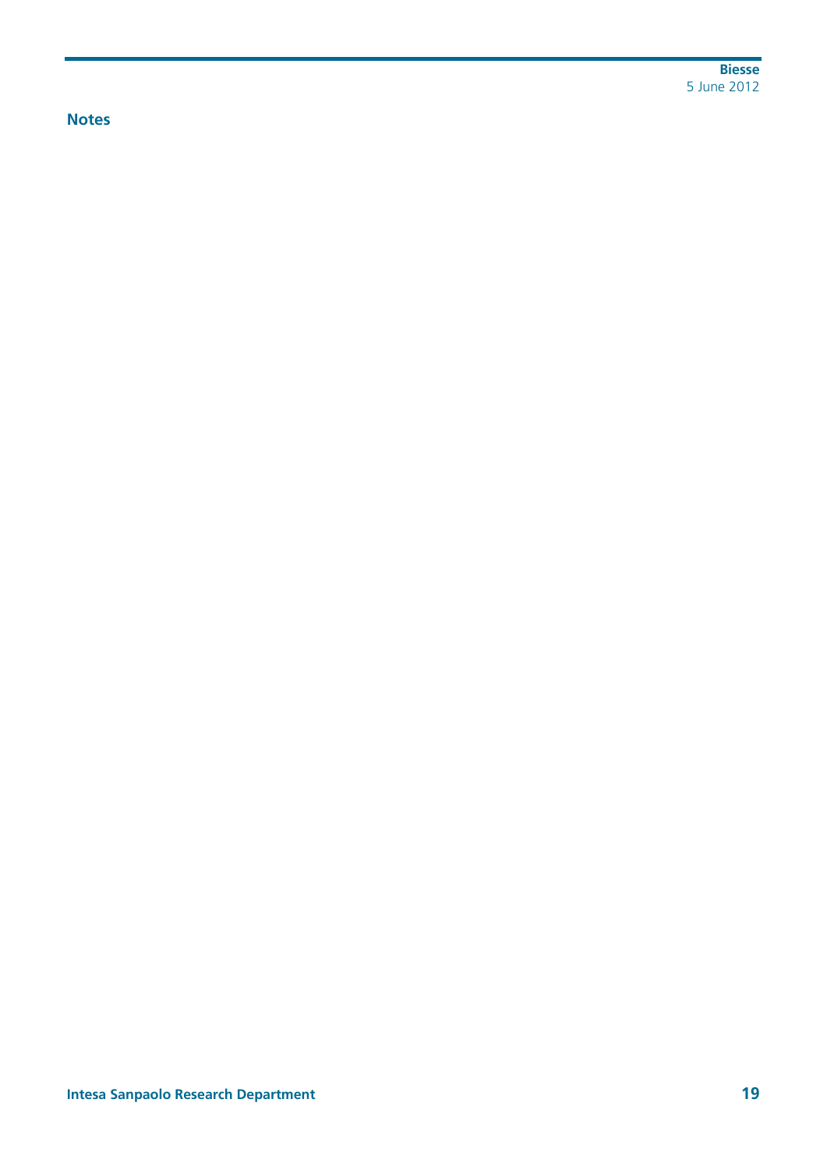**Biesse**  5 June 2012

## **Notes**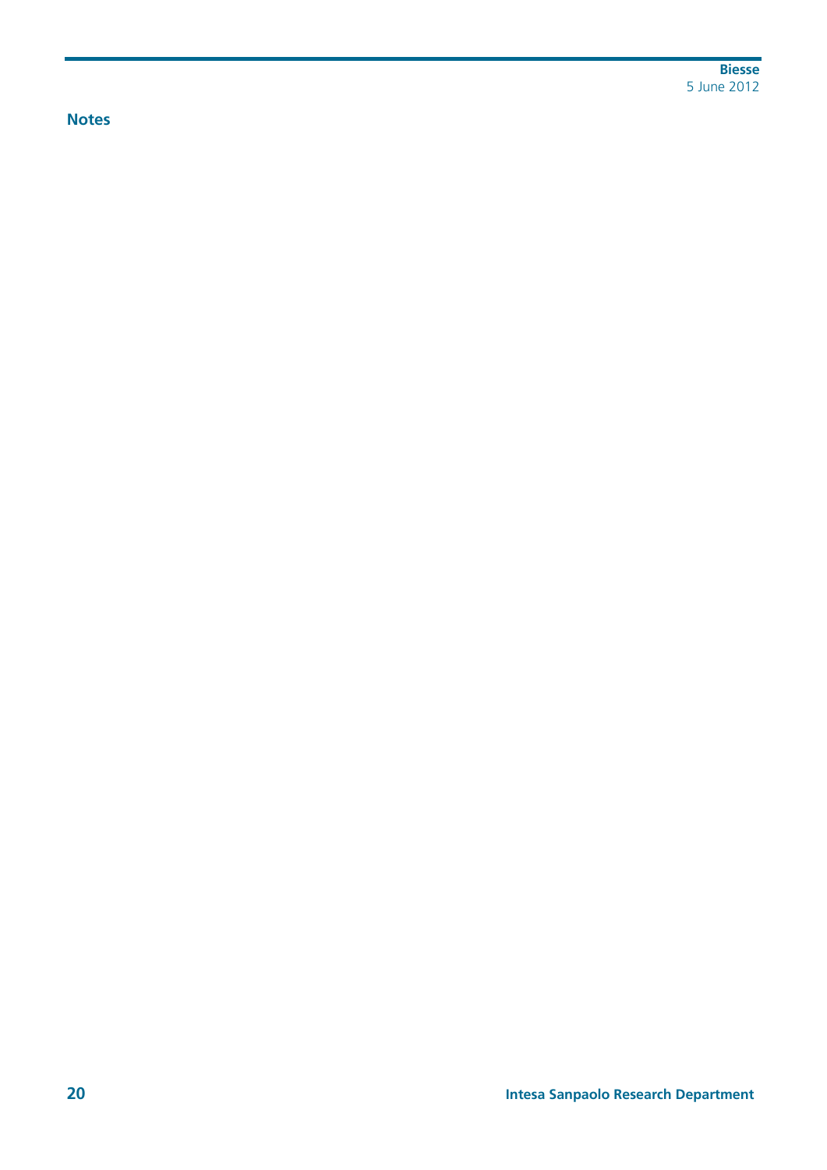**Biesse**  5 June 2012

## **Notes**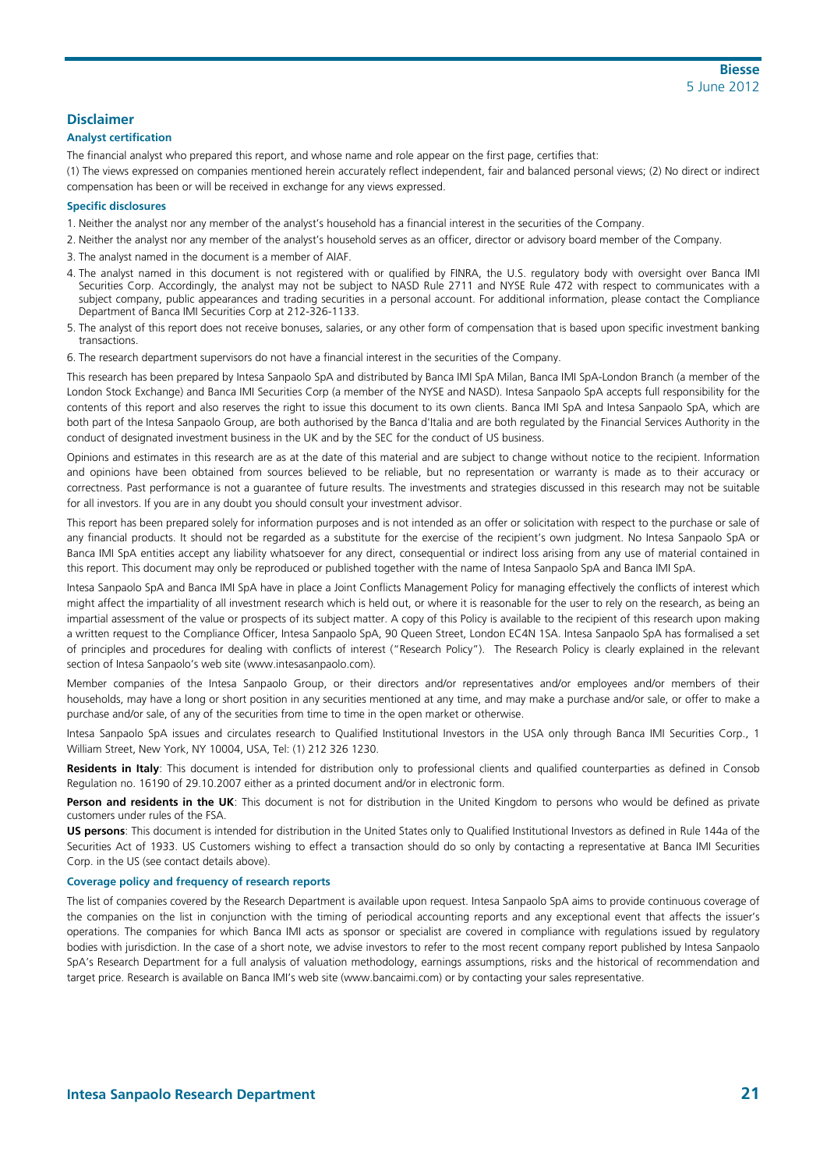#### **Disclaimer**

#### **Analyst certification**

The financial analyst who prepared this report, and whose name and role appear on the first page, certifies that:

(1) The views expressed on companies mentioned herein accurately reflect independent, fair and balanced personal views; (2) No direct or indirect compensation has been or will be received in exchange for any views expressed.

#### **Specific disclosures**

- 1. Neither the analyst nor any member of the analyst's household has a financial interest in the securities of the Company.
- 2. Neither the analyst nor any member of the analyst's household serves as an officer, director or advisory board member of the Company.
- 3. The analyst named in the document is a member of AIAF.
- 4. The analyst named in this document is not registered with or qualified by FINRA, the U.S. regulatory body with oversight over Banca IMI Securities Corp. Accordingly, the analyst may not be subject to NASD Rule 2711 and NYSE Rule 472 with respect to communicates with a subject company, public appearances and trading securities in a personal account. For additional information, please contact the Compliance Department of Banca IMI Securities Corp at 212-326-1133.
- 5. The analyst of this report does not receive bonuses, salaries, or any other form of compensation that is based upon specific investment banking transactions.
- 6. The research department supervisors do not have a financial interest in the securities of the Company.

This research has been prepared by Intesa Sanpaolo SpA and distributed by Banca IMI SpA Milan, Banca IMI SpA-London Branch (a member of the London Stock Exchange) and Banca IMI Securities Corp (a member of the NYSE and NASD). Intesa Sanpaolo SpA accepts full responsibility for the contents of this report and also reserves the right to issue this document to its own clients. Banca IMI SpA and Intesa Sanpaolo SpA, which are both part of the Intesa Sanpaolo Group, are both authorised by the Banca d'Italia and are both regulated by the Financial Services Authority in the conduct of designated investment business in the UK and by the SEC for the conduct of US business.

Opinions and estimates in this research are as at the date of this material and are subject to change without notice to the recipient. Information and opinions have been obtained from sources believed to be reliable, but no representation or warranty is made as to their accuracy or correctness. Past performance is not a guarantee of future results. The investments and strategies discussed in this research may not be suitable for all investors. If you are in any doubt you should consult your investment advisor.

This report has been prepared solely for information purposes and is not intended as an offer or solicitation with respect to the purchase or sale of any financial products. It should not be regarded as a substitute for the exercise of the recipient's own judgment. No Intesa Sanpaolo SpA or Banca IMI SpA entities accept any liability whatsoever for any direct, consequential or indirect loss arising from any use of material contained in this report. This document may only be reproduced or published together with the name of Intesa Sanpaolo SpA and Banca IMI SpA.

Intesa Sanpaolo SpA and Banca IMI SpA have in place a Joint Conflicts Management Policy for managing effectively the conflicts of interest which might affect the impartiality of all investment research which is held out, or where it is reasonable for the user to rely on the research, as being an impartial assessment of the value or prospects of its subject matter. A copy of this Policy is available to the recipient of this research upon making a written request to the Compliance Officer, Intesa Sanpaolo SpA, 90 Queen Street, London EC4N 1SA. Intesa Sanpaolo SpA has formalised a set of principles and procedures for dealing with conflicts of interest ("Research Policy"). The Research Policy is clearly explained in the relevant section of Intesa Sanpaolo's web site (www.intesasanpaolo.com).

Member companies of the Intesa Sanpaolo Group, or their directors and/or representatives and/or employees and/or members of their households, may have a long or short position in any securities mentioned at any time, and may make a purchase and/or sale, or offer to make a purchase and/or sale, of any of the securities from time to time in the open market or otherwise.

Intesa Sanpaolo SpA issues and circulates research to Qualified Institutional Investors in the USA only through Banca IMI Securities Corp., 1 William Street, New York, NY 10004, USA, Tel: (1) 212 326 1230.

**Residents in Italy**: This document is intended for distribution only to professional clients and qualified counterparties as defined in Consob Regulation no. 16190 of 29.10.2007 either as a printed document and/or in electronic form.

Person and residents in the UK: This document is not for distribution in the United Kingdom to persons who would be defined as private customers under rules of the FSA.

**US persons**: This document is intended for distribution in the United States only to Qualified Institutional Investors as defined in Rule 144a of the Securities Act of 1933. US Customers wishing to effect a transaction should do so only by contacting a representative at Banca IMI Securities Corp. in the US (see contact details above).

#### **Coverage policy and frequency of research reports**

The list of companies covered by the Research Department is available upon request. Intesa Sanpaolo SpA aims to provide continuous coverage of the companies on the list in conjunction with the timing of periodical accounting reports and any exceptional event that affects the issuer's operations. The companies for which Banca IMI acts as sponsor or specialist are covered in compliance with regulations issued by regulatory bodies with jurisdiction. In the case of a short note, we advise investors to refer to the most recent company report published by Intesa Sanpaolo SpA's Research Department for a full analysis of valuation methodology, earnings assumptions, risks and the historical of recommendation and target price. Research is available on Banca IMI's web site (www.bancaimi.com) or by contacting your sales representative.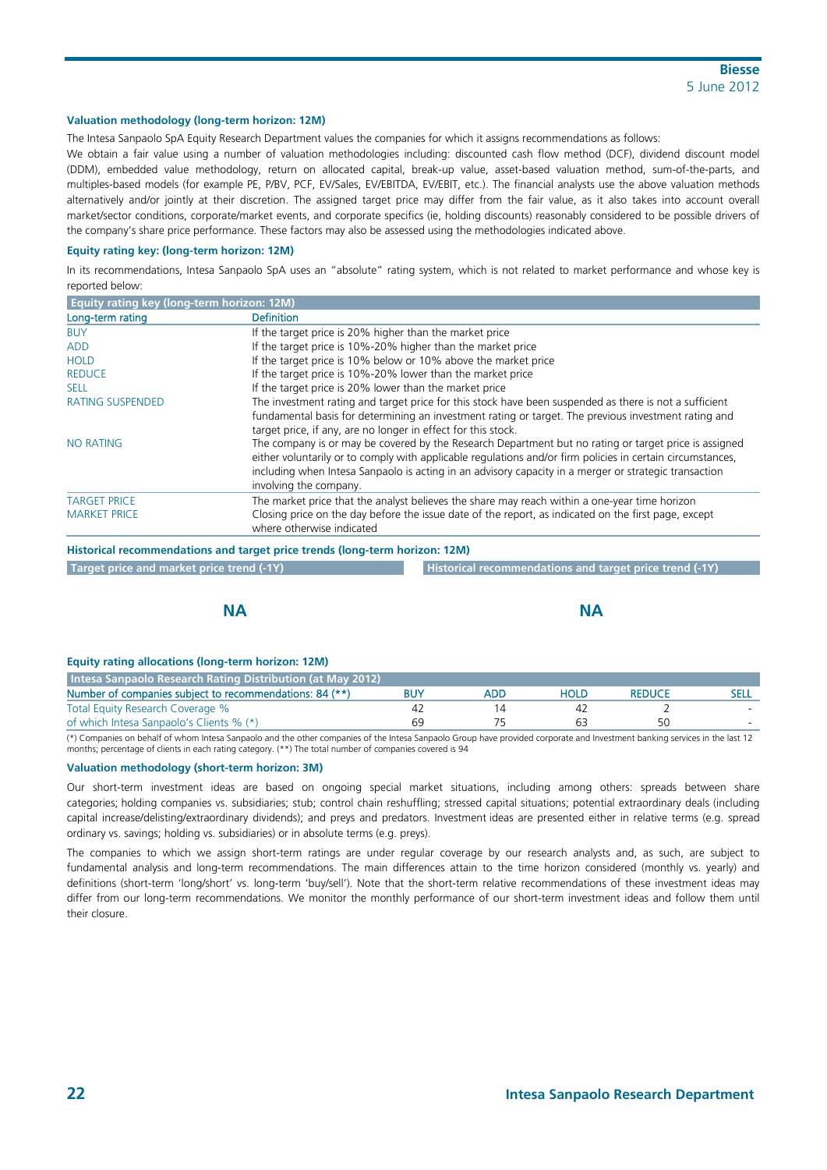#### **Valuation methodology (long-term horizon: 12M)**

The Intesa Sanpaolo SpA Equity Research Department values the companies for which it assigns recommendations as follows:

We obtain a fair value using a number of valuation methodologies including: discounted cash flow method (DCF), dividend discount model (DDM), embedded value methodology, return on allocated capital, break-up value, asset-based valuation method, sum-of-the-parts, and multiples-based models (for example PE, P/BV, PCF, EV/Sales, EV/EBITDA, EV/EBIT, etc.). The financial analysts use the above valuation methods alternatively and/or jointly at their discretion. The assigned target price may differ from the fair value, as it also takes into account overall market/sector conditions, corporate/market events, and corporate specifics (ie, holding discounts) reasonably considered to be possible drivers of the company's share price performance. These factors may also be assessed using the methodologies indicated above.

#### **Equity rating key: (long-term horizon: 12M)**

In its recommendations, Intesa Sanpaolo SpA uses an "absolute" rating system, which is not related to market performance and whose key is reported below:

| <b>Equity rating key (long-term horizon: 12M)</b> |                                                                                                                                                                                                                                                                                                                                                        |
|---------------------------------------------------|--------------------------------------------------------------------------------------------------------------------------------------------------------------------------------------------------------------------------------------------------------------------------------------------------------------------------------------------------------|
| Long-term rating                                  | <b>Definition</b>                                                                                                                                                                                                                                                                                                                                      |
| <b>BUY</b>                                        | If the target price is 20% higher than the market price                                                                                                                                                                                                                                                                                                |
| <b>ADD</b>                                        | If the target price is 10%-20% higher than the market price                                                                                                                                                                                                                                                                                            |
| <b>HOLD</b>                                       | If the target price is 10% below or 10% above the market price                                                                                                                                                                                                                                                                                         |
| <b>REDUCE</b>                                     | If the target price is 10%-20% lower than the market price                                                                                                                                                                                                                                                                                             |
| <b>SELL</b>                                       | If the target price is 20% lower than the market price                                                                                                                                                                                                                                                                                                 |
| <b>RATING SUSPENDED</b>                           | The investment rating and target price for this stock have been suspended as there is not a sufficient                                                                                                                                                                                                                                                 |
|                                                   | fundamental basis for determining an investment rating or target. The previous investment rating and<br>target price, if any, are no longer in effect for this stock.                                                                                                                                                                                  |
| <b>NO RATING</b>                                  | The company is or may be covered by the Research Department but no rating or target price is assigned<br>either voluntarily or to comply with applicable regulations and/or firm policies in certain circumstances,<br>including when Intesa Sanpaolo is acting in an advisory capacity in a merger or strategic transaction<br>involving the company. |
| <b>TARGET PRICE</b>                               | The market price that the analyst believes the share may reach within a one-year time horizon                                                                                                                                                                                                                                                          |
| <b>MARKET PRICE</b>                               | Closing price on the day before the issue date of the report, as indicated on the first page, except<br>where otherwise indicated                                                                                                                                                                                                                      |

**Historical recommendations and target price trends (long-term horizon: 12M)** 

|  | Target price and market price trend (-1Y) |  |
|--|-------------------------------------------|--|
|  |                                           |  |

**Historical recommendations and target price trend (-1Y)** 

| <b>NA</b> |
|-----------|
|           |

#### **Equity rating allocations (long-term horizon: 12M)**

| Intesa Sanpaolo Research Rating Distribution (at May 2012) |     |      |               |  |
|------------------------------------------------------------|-----|------|---------------|--|
| Number of companies subject to recommendations: 84 (**)    | ADE | Hold | <b>REDUCE</b> |  |
| Total Equity Research Coverage %                           |     |      |               |  |
| of which Intesa Sanpaolo's Clients % (*)                   |     |      | 50            |  |

(\*) Companies on behalf of whom Intesa Sanpaolo and the other companies of the Intesa Sanpaolo Group have provided corporate and Investment banking services in the last 12 months; percentage of clients in each rating category. (\*\*) The total number of companies covered is 94

#### **Valuation methodology (short-term horizon: 3M)**

Our short-term investment ideas are based on ongoing special market situations, including among others: spreads between share categories; holding companies vs. subsidiaries; stub; control chain reshuffling; stressed capital situations; potential extraordinary deals (including capital increase/delisting/extraordinary dividends); and preys and predators. Investment ideas are presented either in relative terms (e.g. spread ordinary vs. savings; holding vs. subsidiaries) or in absolute terms (e.g. preys).

The companies to which we assign short-term ratings are under regular coverage by our research analysts and, as such, are subject to fundamental analysis and long-term recommendations. The main differences attain to the time horizon considered (monthly vs. yearly) and definitions (short-term 'long/short' vs. long-term 'buy/sell'). Note that the short-term relative recommendations of these investment ideas may differ from our long-term recommendations. We monitor the monthly performance of our short-term investment ideas and follow them until their closure.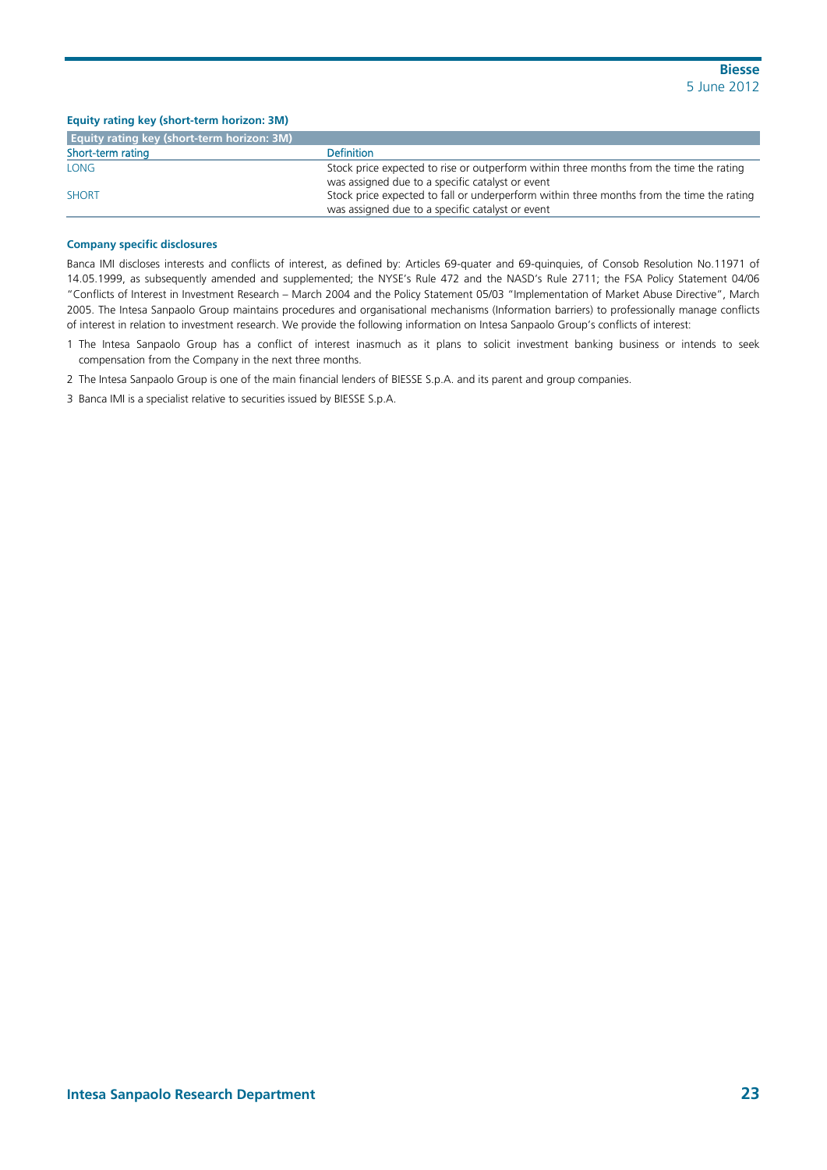| Equity rating key (short-term horizon: 3M)        |                                                                                                                                               |
|---------------------------------------------------|-----------------------------------------------------------------------------------------------------------------------------------------------|
| <b>Equity rating key (short-term horizon: 3M)</b> |                                                                                                                                               |
| Short-term rating                                 | <b>Definition</b>                                                                                                                             |
| LONG                                              | Stock price expected to rise or outperform within three months from the time the rating<br>was assigned due to a specific catalyst or event   |
| <b>SHORT</b>                                      | Stock price expected to fall or underperform within three months from the time the rating<br>was assigned due to a specific catalyst or event |

#### **Company specific disclosures**

Banca IMI discloses interests and conflicts of interest, as defined by: Articles 69-quater and 69-quinquies, of Consob Resolution No.11971 of 14.05.1999, as subsequently amended and supplemented; the NYSE's Rule 472 and the NASD's Rule 2711; the FSA Policy Statement 04/06 "Conflicts of Interest in Investment Research – March 2004 and the Policy Statement 05/03 "Implementation of Market Abuse Directive", March 2005. The Intesa Sanpaolo Group maintains procedures and organisational mechanisms (Information barriers) to professionally manage conflicts of interest in relation to investment research. We provide the following information on Intesa Sanpaolo Group's conflicts of interest:

1 The Intesa Sanpaolo Group has a conflict of interest inasmuch as it plans to solicit investment banking business or intends to seek compensation from the Company in the next three months.

2 The Intesa Sanpaolo Group is one of the main financial lenders of BIESSE S.p.A. and its parent and group companies.

3 Banca IMI is a specialist relative to securities issued by BIESSE S.p.A.